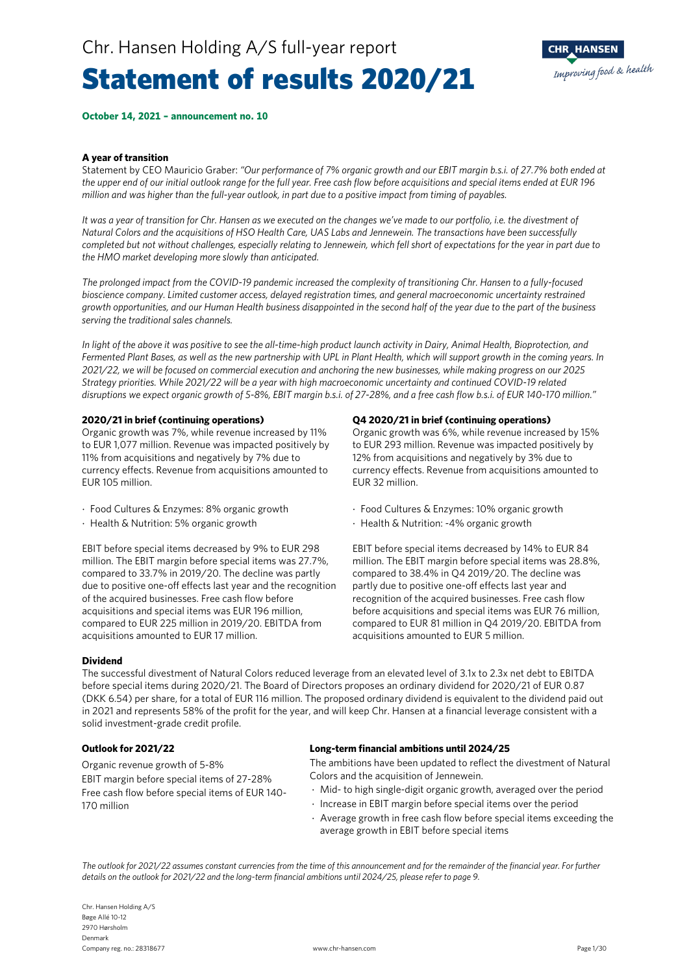### Statement of results 2020/21



**October 14, 2021 – announcement no. 10**

#### **A year of transition**

Statement by CEO Mauricio Graber: *"Our performance of 7% organic growth and our EBIT margin b.s.i. of 27.7% both ended at the upper end of our initial outlook range for the full year. Free cash flow before acquisitions and special items ended at EUR 196 million and was higher than the full-year outlook, in part due to a positive impact from timing of payables.*

*It was a year of transition for Chr. Hansen as we executed on the changes we've made to our portfolio, i.e. the divestment of Natural Colors and the acquisitions of HSO Health Care, UAS Labs and Jennewein. The transactions have been successfully completed but not without challenges, especially relating to Jennewein, which fell short of expectations for the year in part due to the HMO market developing more slowly than anticipated.*

*The prolonged impact from the COVID-19 pandemic increased the complexity of transitioning Chr. Hansen to a fully-focused bioscience company. Limited customer access, delayed registration times, and general macroeconomic uncertainty restrained growth opportunities, and our Human Health business disappointed in the second half of the year due to the part of the business serving the traditional sales channels.* 

*In light of the above it was positive to see the all-time-high product launch activity in Dairy, Animal Health, Bioprotection, and Fermented Plant Bases, as well as the new partnership with UPL in Plant Health, which will support growth in the coming years. In 2021/22, we will be focused on commercial execution and anchoring the new businesses, while making progress on our 2025 Strategy priorities. While 2021/22 will be a year with high macroeconomic uncertainty and continued COVID-19 related disruptions we expect organic growth of 5-8%, EBIT margin b.s.i. of 27-28%, and a free cash flow b.s.i. of EUR 140-170 million."*

#### **2020/21 in brief (continuing operations)**

Organic growth was 7%, while revenue increased by 11% to EUR 1,077 million. Revenue was impacted positively by 11% from acquisitions and negatively by 7% due to currency effects. Revenue from acquisitions amounted to EUR 105 million.

- ⋅ Food Cultures & Enzymes: 8% organic growth
- ⋅ Health & Nutrition: 5% organic growth

EBIT before special items decreased by 9% to EUR 298 million. The EBIT margin before special items was 27.7%, compared to 33.7% in 2019/20. The decline was partly due to positive one-off effects last year and the recognition of the acquired businesses. Free cash flow before acquisitions and special items was EUR 196 million, compared to EUR 225 million in 2019/20. EBITDA from acquisitions amounted to EUR 17 million.

#### **Q4 2020/21 in brief (continuing operations)**

Organic growth was 6%, while revenue increased by 15% to EUR 293 million. Revenue was impacted positively by 12% from acquisitions and negatively by 3% due to currency effects. Revenue from acquisitions amounted to EUR 32 million.

- ⋅ Food Cultures & Enzymes: 10% organic growth
- ⋅ Health & Nutrition: -4% organic growth

EBIT before special items decreased by 14% to EUR 84 million. The EBIT margin before special items was 28.8%, compared to 38.4% in Q4 2019/20. The decline was partly due to positive one-off effects last year and recognition of the acquired businesses. Free cash flow before acquisitions and special items was EUR 76 million, compared to EUR 81 million in Q4 2019/20. EBITDA from acquisitions amounted to EUR 5 million.

#### **Dividend**

The successful divestment of Natural Colors reduced leverage from an elevated level of 3.1x to 2.3x net debt to EBITDA before special items during 2020/21. The Board of Directors proposes an ordinary dividend for 2020/21 of EUR 0.87 (DKK 6.54) per share, for a total of EUR 116 million. The proposed ordinary dividend is equivalent to the dividend paid out in 2021 and represents 58% of the profit for the year, and will keep Chr. Hansen at a financial leverage consistent with a solid investment-grade credit profile.

Organic revenue growth of 5-8% EBIT margin before special items of 27-28% Free cash flow before special items of EUR 140- 170 million

#### **Outlook for 2021/22 Long-term financial ambitions until 2024/25**

The ambitions have been updated to reflect the divestment of Natural Colors and the acquisition of Jennewein.

- ⋅ Mid- to high single-digit organic growth, averaged over the period
- ⋅ Increase in EBIT margin before special items over the period
- ⋅ Average growth in free cash flow before special items exceeding the average growth in EBIT before special items

*The outlook for 2021/22 assumes constant currencies from the time of this announcement and for the remainder of the financial year. For further details on the outlook for 2021/22 and the long-term financial ambitions until 2024/25, please refer to page 9.*

Chr. Hansen Holding A/S Bøge Allé 10-12 2970 Hørsholm Denmark Company reg. no.: 28318677 www.chr-hansen.com Page 1/30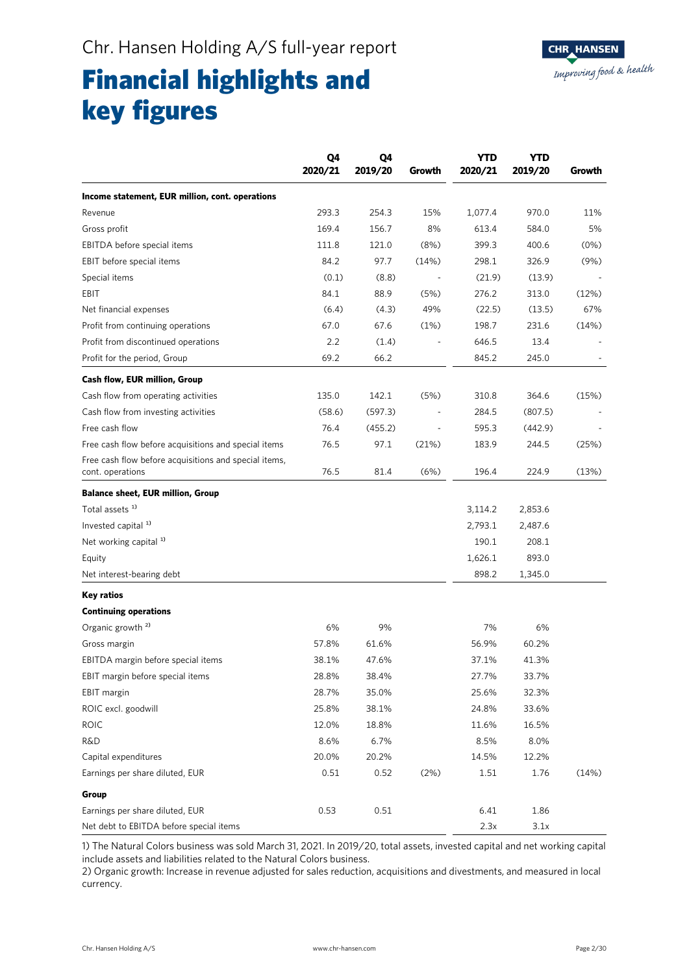### Financial highlights and key figures

|                                                                           | Q4<br>2020/21 | Q4<br>2019/20 | Growth | <b>YTD</b><br>2020/21 | <b>YTD</b><br>2019/20 | Growth |
|---------------------------------------------------------------------------|---------------|---------------|--------|-----------------------|-----------------------|--------|
| Income statement, EUR million, cont. operations                           |               |               |        |                       |                       |        |
| Revenue                                                                   | 293.3         | 254.3         | 15%    | 1,077.4               | 970.0                 | 11%    |
| Gross profit                                                              | 169.4         | 156.7         | 8%     | 613.4                 | 584.0                 | 5%     |
| EBITDA before special items                                               | 111.8         | 121.0         | (8%)   | 399.3                 | 400.6                 | (0%)   |
| EBIT before special items                                                 | 84.2          | 97.7          | (14%)  | 298.1                 | 326.9                 | (9%)   |
| Special items                                                             | (0.1)         | (8.8)         |        | (21.9)                | (13.9)                |        |
| EBIT                                                                      | 84.1          | 88.9          | (5%)   | 276.2                 | 313.0                 | (12%)  |
| Net financial expenses                                                    | (6.4)         | (4.3)         | 49%    | (22.5)                | (13.5)                | 67%    |
| Profit from continuing operations                                         | 67.0          | 67.6          | (1%)   | 198.7                 | 231.6                 | (14%)  |
| Profit from discontinued operations                                       | 2.2           | (1.4)         |        | 646.5                 | 13.4                  |        |
| Profit for the period, Group                                              | 69.2          | 66.2          |        | 845.2                 | 245.0                 |        |
| Cash flow, EUR million, Group                                             |               |               |        |                       |                       |        |
| Cash flow from operating activities                                       | 135.0         | 142.1         | (5%)   | 310.8                 | 364.6                 | (15%)  |
| Cash flow from investing activities                                       | (58.6)        | (597.3)       |        | 284.5                 | (807.5)               |        |
| Free cash flow                                                            | 76.4          | (455.2)       |        | 595.3                 | (442.9)               |        |
| Free cash flow before acquisitions and special items                      | 76.5          | 97.1          | (21%)  | 183.9                 | 244.5                 | (25%)  |
| Free cash flow before acquisitions and special items,<br>cont. operations | 76.5          | 81.4          | (6%)   | 196.4                 | 224.9                 | (13%)  |
| <b>Balance sheet, EUR million, Group</b>                                  |               |               |        |                       |                       |        |
| Total assets <sup>1)</sup>                                                |               |               |        | 3,114.2               | 2,853.6               |        |
| Invested capital <sup>1)</sup>                                            |               |               |        | 2,793.1               | 2,487.6               |        |
| Net working capital <sup>1)</sup>                                         |               |               |        | 190.1                 | 208.1                 |        |
| Equity                                                                    |               |               |        | 1,626.1               | 893.0                 |        |
| Net interest-bearing debt                                                 |               |               |        | 898.2                 | 1,345.0               |        |
| Key ratios                                                                |               |               |        |                       |                       |        |
| <b>Continuing operations</b>                                              |               |               |        |                       |                       |        |
| Organic growth <sup>2)</sup>                                              | 6%            | 9%            |        | 7%                    | 6%                    |        |
| Gross margin                                                              | 57.8%         | 61.6%         |        | 56.9%                 | 60.2%                 |        |
| EBITDA margin before special items                                        | 38.1%         | 47.6%         |        | 37.1%                 | 41.3%                 |        |
| EBIT margin before special items                                          | 28.8%         | 38.4%         |        | 27.7%                 | 33.7%                 |        |
| EBIT margin                                                               | 28.7%         | 35.0%         |        | 25.6%                 | 32.3%                 |        |
| ROIC excl. goodwill                                                       | 25.8%         | 38.1%         |        | 24.8%                 | 33.6%                 |        |
| <b>ROIC</b>                                                               | 12.0%         | 18.8%         |        | 11.6%                 | 16.5%                 |        |
| <b>R&amp;D</b>                                                            | 8.6%          | 6.7%          |        | 8.5%                  | 8.0%                  |        |
| Capital expenditures                                                      | 20.0%         | 20.2%         |        | 14.5%                 | 12.2%                 |        |
| Earnings per share diluted, EUR                                           | 0.51          | 0.52          | (2%)   | 1.51                  | 1.76                  | (14%)  |
| Group                                                                     |               |               |        |                       |                       |        |
| Earnings per share diluted, EUR                                           | 0.53          | 0.51          |        | 6.41                  | 1.86                  |        |
| Net debt to EBITDA before special items                                   |               |               |        | 2.3x                  | 3.1x                  |        |

1) The Natural Colors business was sold March 31, 2021. In 2019/20, total assets, invested capital and net working capital include assets and liabilities related to the Natural Colors business.

2) Organic growth: Increase in revenue adjusted for sales reduction, acquisitions and divestments, and measured in local currency.

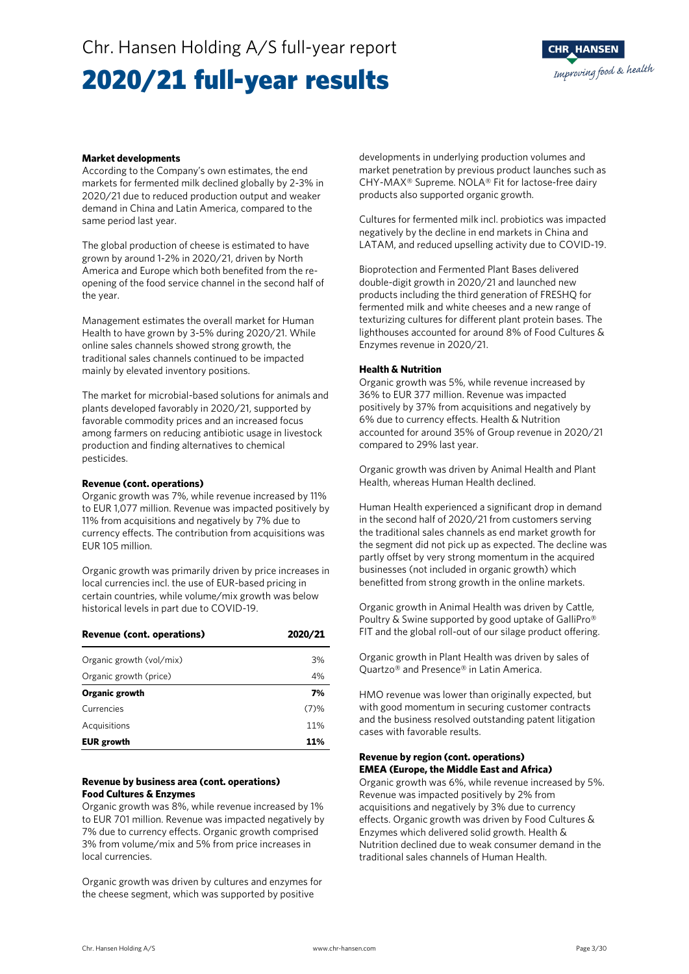### Chr. Hansen Holding A/S full-year report

### 2020/21 full-year results



#### **Market developments**

According to the Company's own estimates, the end markets for fermented milk declined globally by 2-3% in 2020/21 due to reduced production output and weaker demand in China and Latin America, compared to the same period last year.

The global production of cheese is estimated to have grown by around 1-2% in 2020/21, driven by North America and Europe which both benefited from the reopening of the food service channel in the second half of the year.

Management estimates the overall market for Human Health to have grown by 3-5% during 2020/21. While online sales channels showed strong growth, the traditional sales channels continued to be impacted mainly by elevated inventory positions.

The market for microbial-based solutions for animals and plants developed favorably in 2020/21, supported by favorable commodity prices and an increased focus among farmers on reducing antibiotic usage in livestock production and finding alternatives to chemical pesticides.

#### **Revenue (cont. operations)**

Organic growth was 7%, while revenue increased by 11% to EUR 1,077 million. Revenue was impacted positively by 11% from acquisitions and negatively by 7% due to currency effects. The contribution from acquisitions was EUR 105 million.

Organic growth was primarily driven by price increases in local currencies incl. the use of EUR-based pricing in certain countries, while volume/mix growth was below historical levels in part due to COVID-19.

| Revenue (cont. operations) | 2020/21 |
|----------------------------|---------|
| Organic growth (vol/mix)   | 3%      |
| Organic growth (price)     | 4%      |
| Organic growth             | 7%      |
| Currencies                 | (7)%    |
| Acquisitions               | 11%     |
| <b>EUR</b> growth          | 11%     |

#### **Revenue by business area (cont. operations) Food Cultures & Enzymes**

Organic growth was 8%, while revenue increased by 1% to EUR 701 million. Revenue was impacted negatively by 7% due to currency effects. Organic growth comprised 3% from volume/mix and 5% from price increases in local currencies.

Organic growth was driven by cultures and enzymes for the cheese segment, which was supported by positive

developments in underlying production volumes and market penetration by previous product launches such as CHY-MAX® Supreme. NOLA® Fit for lactose-free dairy products also supported organic growth.

Cultures for fermented milk incl. probiotics was impacted negatively by the decline in end markets in China and LATAM, and reduced upselling activity due to COVID-19.

Bioprotection and Fermented Plant Bases delivered double-digit growth in 2020/21 and launched new products including the third generation of FRESHQ for fermented milk and white cheeses and a new range of texturizing cultures for different plant protein bases. The lighthouses accounted for around 8% of Food Cultures & Enzymes revenue in 2020/21.

#### **Health & Nutrition**

Organic growth was 5%, while revenue increased by 36% to EUR 377 million. Revenue was impacted positively by 37% from acquisitions and negatively by 6% due to currency effects. Health & Nutrition accounted for around 35% of Group revenue in 2020/21 compared to 29% last year.

Organic growth was driven by Animal Health and Plant Health, whereas Human Health declined.

Human Health experienced a significant drop in demand in the second half of 2020/21 from customers serving the traditional sales channels as end market growth for the segment did not pick up as expected. The decline was partly offset by very strong momentum in the acquired businesses (not included in organic growth) which benefitted from strong growth in the online markets.

Organic growth in Animal Health was driven by Cattle, Poultry & Swine supported by good uptake of GalliPro® FIT and the global roll-out of our silage product offering.

Organic growth in Plant Health was driven by sales of Quartzo® and Presence® in Latin America.

HMO revenue was lower than originally expected, but with good momentum in securing customer contracts and the business resolved outstanding patent litigation cases with favorable results.

#### **Revenue by region (cont. operations) EMEA (Europe, the Middle East and Africa)**

Organic growth was 6%, while revenue increased by 5%. Revenue was impacted positively by 2% from acquisitions and negatively by 3% due to currency effects. Organic growth was driven by Food Cultures & Enzymes which delivered solid growth. Health & Nutrition declined due to weak consumer demand in the traditional sales channels of Human Health.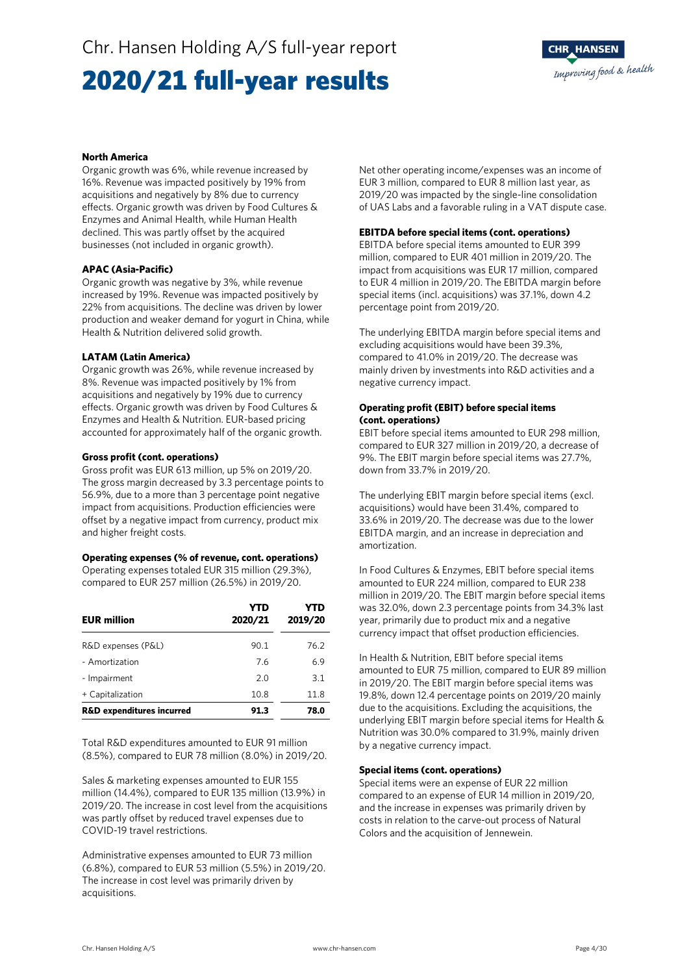## 2020/21 full-year results



#### **North America**

Organic growth was 6%, while revenue increased by 16%. Revenue was impacted positively by 19% from acquisitions and negatively by 8% due to currency effects. Organic growth was driven by Food Cultures & Enzymes and Animal Health, while Human Health declined. This was partly offset by the acquired businesses (not included in organic growth).

#### **APAC (Asia-Pacific)**

Organic growth was negative by 3%, while revenue increased by 19%. Revenue was impacted positively by 22% from acquisitions. The decline was driven by lower production and weaker demand for yogurt in China, while Health & Nutrition delivered solid growth.

#### **LATAM (Latin America)**

Organic growth was 26%, while revenue increased by 8%. Revenue was impacted positively by 1% from acquisitions and negatively by 19% due to currency effects. Organic growth was driven by Food Cultures & Enzymes and Health & Nutrition. EUR-based pricing accounted for approximately half of the organic growth.

#### **Gross profit (cont. operations)**

Gross profit was EUR 613 million, up 5% on 2019/20. The gross margin decreased by 3.3 percentage points to 56.9%, due to a more than 3 percentage point negative impact from acquisitions. Production efficiencies were offset by a negative impact from currency, product mix and higher freight costs.

#### **Operating expenses (% of revenue, cont. operations)**

Operating expenses totaled EUR 315 million (29.3%), compared to EUR 257 million (26.5%) in 2019/20.

| <b>EUR million</b>                   | YTD<br>2020/21 | YTD<br>2019/20 |
|--------------------------------------|----------------|----------------|
| R&D expenses (P&L)                   | 90.1           | 76.2           |
| - Amortization                       | 7.6            | 6.9            |
| - Impairment                         | 2.0            | 3.1            |
| + Capitalization                     | 10.8           | 11.8           |
| <b>R&amp;D expenditures incurred</b> | 91.3           | 78.0           |

Total R&D expenditures amounted to EUR 91 million (8.5%), compared to EUR 78 million (8.0%) in 2019/20.

Sales & marketing expenses amounted to EUR 155 million (14.4%), compared to EUR 135 million (13.9%) in 2019/20. The increase in cost level from the acquisitions was partly offset by reduced travel expenses due to COVID-19 travel restrictions.

Administrative expenses amounted to EUR 73 million (6.8%), compared to EUR 53 million (5.5%) in 2019/20. The increase in cost level was primarily driven by acquisitions.

Net other operating income/expenses was an income of EUR 3 million, compared to EUR 8 million last year, as 2019/20 was impacted by the single-line consolidation of UAS Labs and a favorable ruling in a VAT dispute case.

#### **EBITDA before special items (cont. operations)**

EBITDA before special items amounted to EUR 399 million, compared to EUR 401 million in 2019/20. The impact from acquisitions was EUR 17 million, compared to EUR 4 million in 2019/20. The EBITDA margin before special items (incl. acquisitions) was 37.1%, down 4.2 percentage point from 2019/20.

The underlying EBITDA margin before special items and excluding acquisitions would have been 39.3%, compared to 41.0% in 2019/20. The decrease was mainly driven by investments into R&D activities and a negative currency impact.

#### **Operating profit (EBIT) before special items (cont. operations)**

EBIT before special items amounted to EUR 298 million, compared to EUR 327 million in 2019/20, a decrease of 9%. The EBIT margin before special items was 27.7%, down from 33.7% in 2019/20.

The underlying EBIT margin before special items (excl. acquisitions) would have been 31.4%, compared to 33.6% in 2019/20. The decrease was due to the lower EBITDA margin, and an increase in depreciation and amortization.

In Food Cultures & Enzymes, EBIT before special items amounted to EUR 224 million, compared to EUR 238 million in 2019/20. The EBIT margin before special items was 32.0%, down 2.3 percentage points from 34.3% last year, primarily due to product mix and a negative currency impact that offset production efficiencies.

In Health & Nutrition, EBIT before special items amounted to EUR 75 million, compared to EUR 89 million in 2019/20. The EBIT margin before special items was 19.8%, down 12.4 percentage points on 2019/20 mainly due to the acquisitions. Excluding the acquisitions, the underlying EBIT margin before special items for Health & Nutrition was 30.0% compared to 31.9%, mainly driven by a negative currency impact.

#### **Special items (cont. operations)**

Special items were an expense of EUR 22 million compared to an expense of EUR 14 million in 2019/20, and the increase in expenses was primarily driven by costs in relation to the carve-out process of Natural Colors and the acquisition of Jennewein.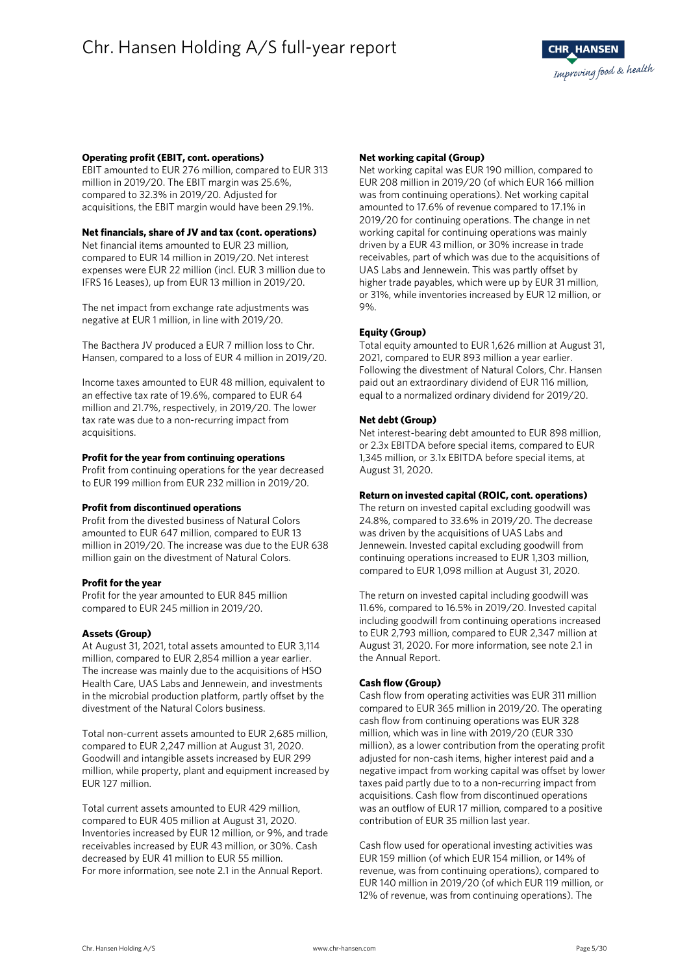#### **Operating profit (EBIT, cont. operations)**

EBIT amounted to EUR 276 million, compared to EUR 313 million in 2019/20. The EBIT margin was 25.6%, compared to 32.3% in 2019/20. Adjusted for acquisitions, the EBIT margin would have been 29.1%.

#### **Net financials, share of JV and tax (cont. operations)**

Net financial items amounted to EUR 23 million, compared to EUR 14 million in 2019/20. Net interest expenses were EUR 22 million (incl. EUR 3 million due to IFRS 16 Leases), up from EUR 13 million in 2019/20.

The net impact from exchange rate adjustments was negative at EUR 1 million, in line with 2019/20.

The Bacthera JV produced a EUR 7 million loss to Chr. Hansen, compared to a loss of EUR 4 million in 2019/20.

Income taxes amounted to EUR 48 million, equivalent to an effective tax rate of 19.6%, compared to EUR 64 million and 21.7%, respectively, in 2019/20. The lower tax rate was due to a non-recurring impact from acquisitions.

#### **Profit for the year from continuing operations**

Profit from continuing operations for the year decreased to EUR 199 million from EUR 232 million in 2019/20.

#### **Profit from discontinued operations**

Profit from the divested business of Natural Colors amounted to EUR 647 million, compared to EUR 13 million in 2019/20. The increase was due to the EUR 638 million gain on the divestment of Natural Colors.

#### **Profit for the year**

Profit for the year amounted to EUR 845 million compared to EUR 245 million in 2019/20.

#### **Assets (Group)**

At August 31, 2021, total assets amounted to EUR 3,114 million, compared to EUR 2,854 million a year earlier. The increase was mainly due to the acquisitions of HSO Health Care, UAS Labs and Jennewein, and investments in the microbial production platform, partly offset by the divestment of the Natural Colors business.

Total non-current assets amounted to EUR 2,685 million, compared to EUR 2,247 million at August 31, 2020. Goodwill and intangible assets increased by EUR 299 million, while property, plant and equipment increased by EUR 127 million.

Total current assets amounted to EUR 429 million, compared to EUR 405 million at August 31, 2020. Inventories increased by EUR 12 million, or 9%, and trade receivables increased by EUR 43 million, or 30%. Cash decreased by EUR 41 million to EUR 55 million. For more information, see note 2.1 in the Annual Report.

#### **Net working capital (Group)**

Net working capital was EUR 190 million, compared to EUR 208 million in 2019/20 (of which EUR 166 million was from continuing operations). Net working capital amounted to 17.6% of revenue compared to 17.1% in 2019/20 for continuing operations. The change in net working capital for continuing operations was mainly driven by a EUR 43 million, or 30% increase in trade receivables, part of which was due to the acquisitions of UAS Labs and Jennewein. This was partly offset by higher trade payables, which were up by EUR 31 million, or 31%, while inventories increased by EUR 12 million, or 9%.

#### **Equity (Group)**

Total equity amounted to EUR 1,626 million at August 31, 2021, compared to EUR 893 million a year earlier. Following the divestment of Natural Colors, Chr. Hansen paid out an extraordinary dividend of EUR 116 million, equal to a normalized ordinary dividend for 2019/20.

#### **Net debt (Group)**

Net interest-bearing debt amounted to EUR 898 million, or 2.3x EBITDA before special items, compared to EUR 1,345 million, or 3.1x EBITDA before special items, at August 31, 2020.

#### **Return on invested capital (ROIC, cont. operations)**

The return on invested capital excluding goodwill was 24.8%, compared to 33.6% in 2019/20. The decrease was driven by the acquisitions of UAS Labs and Jennewein. Invested capital excluding goodwill from continuing operations increased to EUR 1,303 million, compared to EUR 1,098 million at August 31, 2020.

The return on invested capital including goodwill was 11.6%, compared to 16.5% in 2019/20. Invested capital including goodwill from continuing operations increased to EUR 2,793 million, compared to EUR 2,347 million at August 31, 2020. For more information, see note 2.1 in the Annual Report.

#### **Cash flow (Group)**

Cash flow from operating activities was EUR 311 million compared to EUR 365 million in 2019/20. The operating cash flow from continuing operations was EUR 328 million, which was in line with 2019/20 (EUR 330 million), as a lower contribution from the operating profit adjusted for non-cash items, higher interest paid and a negative impact from working capital was offset by lower taxes paid partly due to to a non-recurring impact from acquisitions. Cash flow from discontinued operations was an outflow of EUR 17 million, compared to a positive contribution of EUR 35 million last year.

Cash flow used for operational investing activities was EUR 159 million (of which EUR 154 million, or 14% of revenue, was from continuing operations), compared to EUR 140 million in 2019/20 (of which EUR 119 million, or 12% of revenue, was from continuing operations). The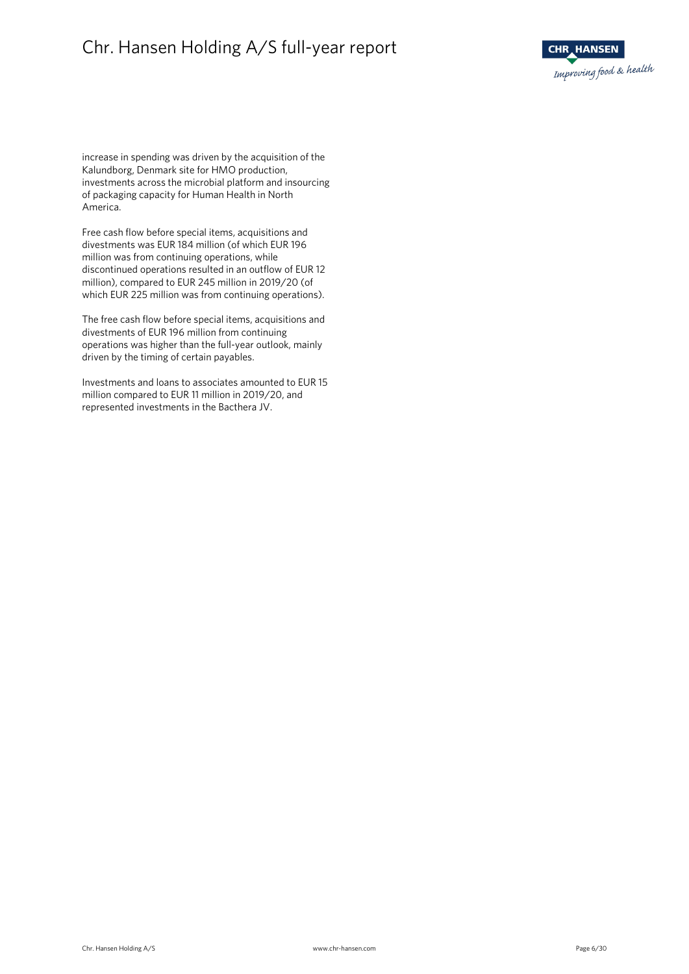### Chr. Hansen Holding A/S full-year report



increase in spending was driven by the acquisition of the Kalundborg, Denmark site for HMO production, investments across the microbial platform and insourcing of packaging capacity for Human Health in North America.

Free cash flow before special items, acquisitions and divestments was EUR 184 million (of which EUR 196 million was from continuing operations, while discontinued operations resulted in an outflow of EUR 12 million), compared to EUR 245 million in 2019/20 (of which EUR 225 million was from continuing operations).

The free cash flow before special items, acquisitions and divestments of EUR 196 million from continuing operations was higher than the full-year outlook, mainly driven by the timing of certain payables.

Investments and loans to associates amounted to EUR 15 million compared to EUR 11 million in 2019/20, and represented investments in the Bacthera JV.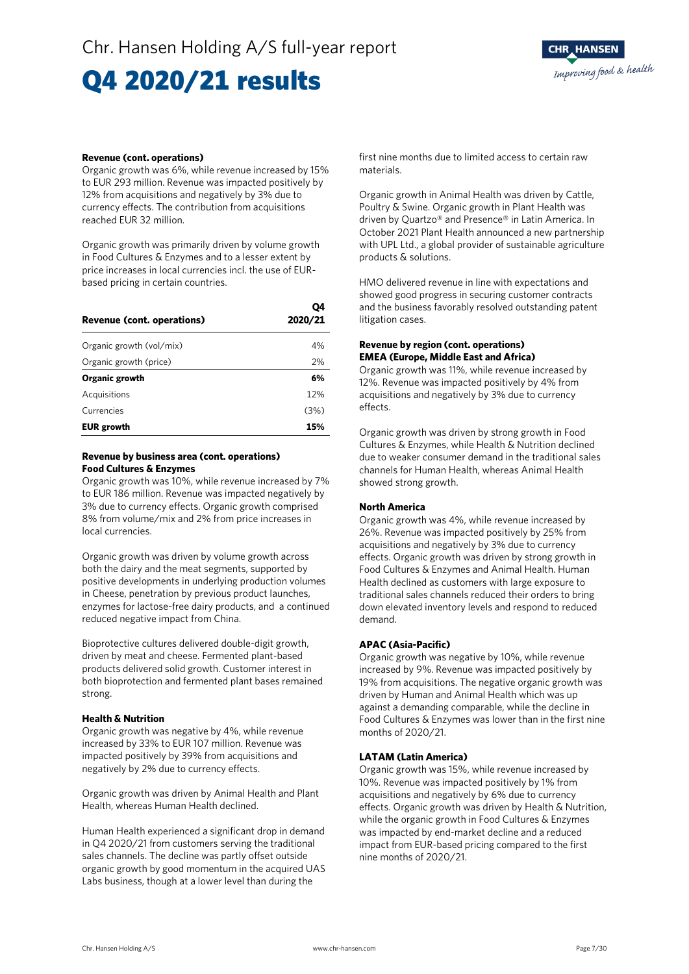## Q4 2020/21 results

#### **Revenue (cont. operations)**

Organic growth was 6%, while revenue increased by 15% to EUR 293 million. Revenue was impacted positively by 12% from acquisitions and negatively by 3% due to currency effects. The contribution from acquisitions reached EUR 32 million.

Organic growth was primarily driven by volume growth in Food Cultures & Enzymes and to a lesser extent by price increases in local currencies incl. the use of EURbased pricing in certain countries.

| <b>Revenue (cont. operations)</b> | V4<br>2020/21 |  |  |  |
|-----------------------------------|---------------|--|--|--|
| Organic growth (vol/mix)          | 4%            |  |  |  |
| Organic growth (price)            | 2%            |  |  |  |
| Organic growth                    | 6%            |  |  |  |
| Acquisitions                      | 12%           |  |  |  |
| Currencies                        | (3%)          |  |  |  |
| <b>EUR</b> growth                 | 15%           |  |  |  |

#### **Revenue by business area (cont. operations) Food Cultures & Enzymes**

Organic growth was 10%, while revenue increased by 7% to EUR 186 million. Revenue was impacted negatively by 3% due to currency effects. Organic growth comprised 8% from volume/mix and 2% from price increases in local currencies.

Organic growth was driven by volume growth across both the dairy and the meat segments, supported by positive developments in underlying production volumes in Cheese, penetration by previous product launches, enzymes for lactose-free dairy products, and a continued reduced negative impact from China.

Bioprotective cultures delivered double-digit growth, driven by meat and cheese. Fermented plant-based products delivered solid growth. Customer interest in both bioprotection and fermented plant bases remained strong.

#### **Health & Nutrition**

Organic growth was negative by 4%, while revenue increased by 33% to EUR 107 million. Revenue was impacted positively by 39% from acquisitions and negatively by 2% due to currency effects.

Organic growth was driven by Animal Health and Plant Health, whereas Human Health declined.

Human Health experienced a significant drop in demand in Q4 2020/21 from customers serving the traditional sales channels. The decline was partly offset outside organic growth by good momentum in the acquired UAS Labs business, though at a lower level than during the

first nine months due to limited access to certain raw materials.

Organic growth in Animal Health was driven by Cattle, Poultry & Swine. Organic growth in Plant Health was driven by Quartzo® and Presence® in Latin America. In October 2021 Plant Health announced a new partnership with UPL Ltd., a global provider of sustainable agriculture products & solutions.

HMO delivered revenue in line with expectations and showed good progress in securing customer contracts and the business favorably resolved outstanding patent litigation cases.

#### **Revenue by region (cont. operations) EMEA (Europe, Middle East and Africa)**

Organic growth was 11%, while revenue increased by 12%. Revenue was impacted positively by 4% from acquisitions and negatively by 3% due to currency effects.

Organic growth was driven by strong growth in Food Cultures & Enzymes, while Health & Nutrition declined due to weaker consumer demand in the traditional sales channels for Human Health, whereas Animal Health showed strong growth.

#### **North America**

 $\sim$ 

Organic growth was 4%, while revenue increased by 26%. Revenue was impacted positively by 25% from acquisitions and negatively by 3% due to currency effects. Organic growth was driven by strong growth in Food Cultures & Enzymes and Animal Health. Human Health declined as customers with large exposure to traditional sales channels reduced their orders to bring down elevated inventory levels and respond to reduced demand.

#### **APAC (Asia-Pacific)**

Organic growth was negative by 10%, while revenue increased by 9%. Revenue was impacted positively by 19% from acquisitions. The negative organic growth was driven by Human and Animal Health which was up against a demanding comparable, while the decline in Food Cultures & Enzymes was lower than in the first nine months of 2020/21.

#### **LATAM (Latin America)**

Organic growth was 15%, while revenue increased by 10%. Revenue was impacted positively by 1% from acquisitions and negatively by 6% due to currency effects. Organic growth was driven by Health & Nutrition, while the organic growth in Food Cultures & Enzymes was impacted by end-market decline and a reduced impact from EUR-based pricing compared to the first nine months of 2020/21.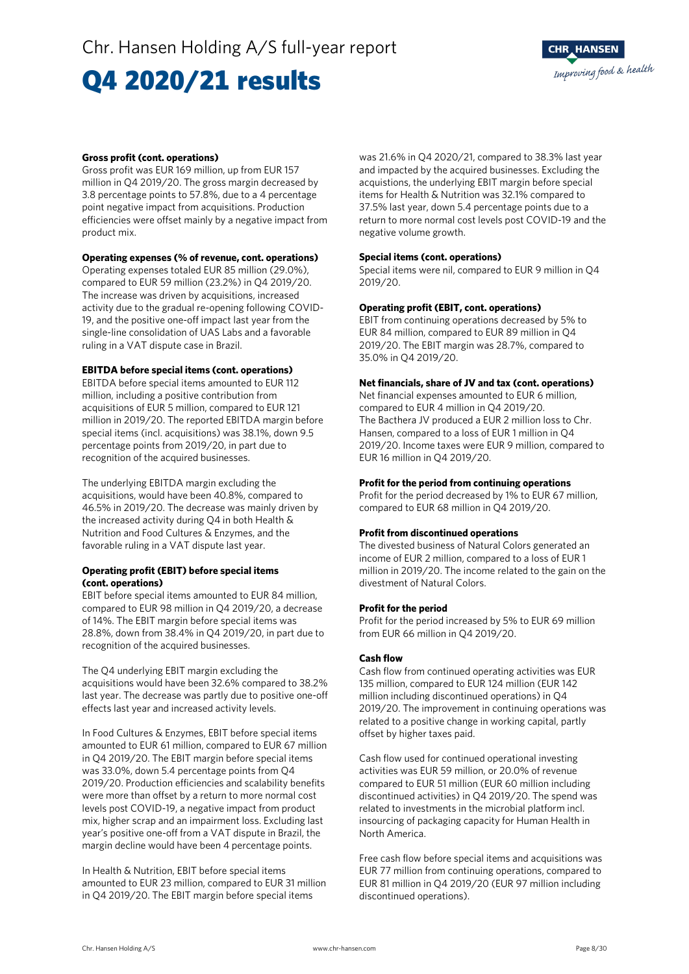### Q4 2020/21 results



#### **Gross profit (cont. operations)**

Gross profit was EUR 169 million, up from EUR 157 million in Q4 2019/20. The gross margin decreased by 3.8 percentage points to 57.8%, due to a 4 percentage point negative impact from acquisitions. Production efficiencies were offset mainly by a negative impact from product mix.

#### **Operating expenses (% of revenue, cont. operations)**

Operating expenses totaled EUR 85 million (29.0%), compared to EUR 59 million (23.2%) in Q4 2019/20. The increase was driven by acquisitions, increased activity due to the gradual re-opening following COVID-19, and the positive one-off impact last year from the single-line consolidation of UAS Labs and a favorable ruling in a VAT dispute case in Brazil.

#### **EBITDA before special items (cont. operations)**

EBITDA before special items amounted to EUR 112 million, including a positive contribution from acquisitions of EUR 5 million, compared to EUR 121 million in 2019/20. The reported EBITDA margin before special items (incl. acquisitions) was 38.1%, down 9.5 percentage points from 2019/20, in part due to recognition of the acquired businesses.

The underlying EBITDA margin excluding the acquisitions, would have been 40.8%, compared to 46.5% in 2019/20. The decrease was mainly driven by the increased activity during Q4 in both Health & Nutrition and Food Cultures & Enzymes, and the favorable ruling in a VAT dispute last year.

#### **Operating profit (EBIT) before special items (cont. operations)**

EBIT before special items amounted to EUR 84 million, compared to EUR 98 million in Q4 2019/20, a decrease of 14%. The EBIT margin before special items was 28.8%, down from 38.4% in Q4 2019/20, in part due to recognition of the acquired businesses.

The Q4 underlying EBIT margin excluding the acquisitions would have been 32.6% compared to 38.2% last year. The decrease was partly due to positive one-off effects last year and increased activity levels.

In Food Cultures & Enzymes, EBIT before special items amounted to EUR 61 million, compared to EUR 67 million in Q4 2019/20. The EBIT margin before special items was 33.0%, down 5.4 percentage points from Q4 2019/20. Production efficiencies and scalability benefits were more than offset by a return to more normal cost levels post COVID-19, a negative impact from product mix, higher scrap and an impairment loss. Excluding last year's positive one-off from a VAT dispute in Brazil, the margin decline would have been 4 percentage points.

In Health & Nutrition, EBIT before special items amounted to EUR 23 million, compared to EUR 31 million in Q4 2019/20. The EBIT margin before special items

was 21.6% in Q4 2020/21, compared to 38.3% last year and impacted by the acquired businesses. Excluding the acquistions, the underlying EBIT margin before special items for Health & Nutrition was 32.1% compared to 37.5% last year, down 5.4 percentage points due to a return to more normal cost levels post COVID-19 and the negative volume growth.

#### **Special items (cont. operations)**

Special items were nil, compared to EUR 9 million in Q4 2019/20.

#### **Operating profit (EBIT, cont. operations)**

EBIT from continuing operations decreased by 5% to EUR 84 million, compared to EUR 89 million in Q4 2019/20. The EBIT margin was 28.7%, compared to 35.0% in Q4 2019/20.

#### **Net financials, share of JV and tax (cont. operations)**

Net financial expenses amounted to EUR 6 million, compared to EUR 4 million in Q4 2019/20. The Bacthera JV produced a EUR 2 million loss to Chr. Hansen, compared to a loss of EUR 1 million in Q4 2019/20. Income taxes were EUR 9 million, compared to EUR 16 million in Q4 2019/20.

#### **Profit for the period from continuing operations**

Profit for the period decreased by 1% to EUR 67 million, compared to EUR 68 million in Q4 2019/20.

#### **Profit from discontinued operations**

The divested business of Natural Colors generated an income of EUR 2 million, compared to a loss of EUR 1 million in 2019/20. The income related to the gain on the divestment of Natural Colors.

#### **Profit for the period**

Profit for the period increased by 5% to EUR 69 million from EUR 66 million in Q4 2019/20.

#### **Cash flow**

Cash flow from continued operating activities was EUR 135 million, compared to EUR 124 million (EUR 142 million including discontinued operations) in Q4 2019/20. The improvement in continuing operations was related to a positive change in working capital, partly offset by higher taxes paid.

Cash flow used for continued operational investing activities was EUR 59 million, or 20.0% of revenue compared to EUR 51 million (EUR 60 million including discontinued activities) in Q4 2019/20. The spend was related to investments in the microbial platform incl. insourcing of packaging capacity for Human Health in North America.

Free cash flow before special items and acquisitions was EUR 77 million from continuing operations, compared to EUR 81 million in Q4 2019/20 (EUR 97 million including discontinued operations).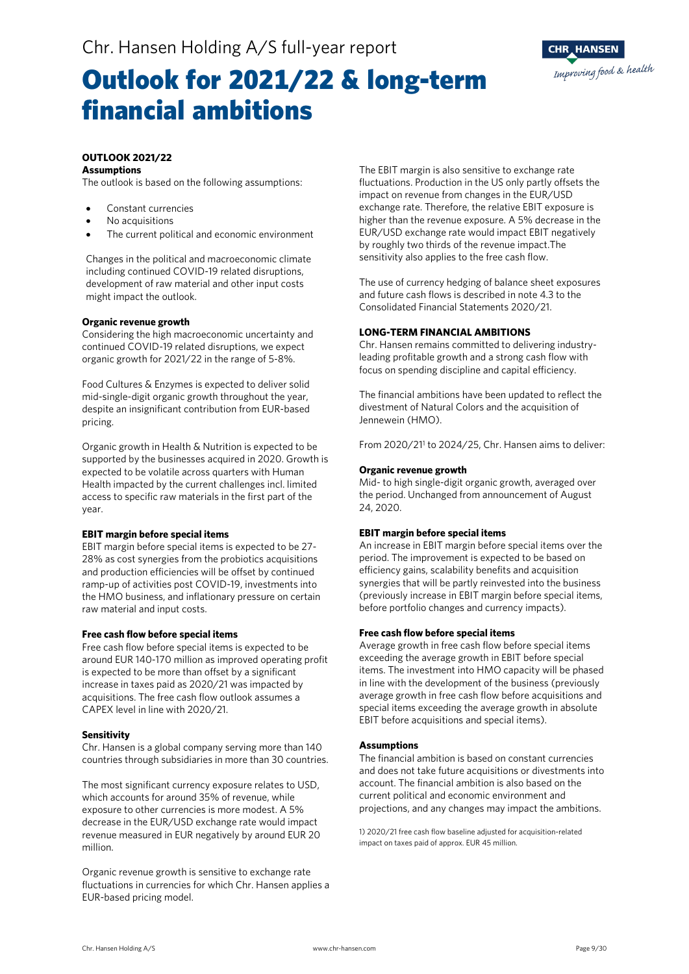

### Outlook for 2021/22 & long-term financial ambitions

#### **OUTLOOK 2021/22**

### **Assumptions**

The outlook is based on the following assumptions:

- Constant currencies
- No acquisitions
- The current political and economic environment

Changes in the political and macroeconomic climate including continued COVID-19 related disruptions, development of raw material and other input costs might impact the outlook.

#### **Organic revenue growth**

Considering the high macroeconomic uncertainty and continued COVID-19 related disruptions, we expect organic growth for 2021/22 in the range of 5-8%.

Food Cultures & Enzymes is expected to deliver solid mid-single-digit organic growth throughout the year, despite an insignificant contribution from EUR-based pricing.

Organic growth in Health & Nutrition is expected to be supported by the businesses acquired in 2020. Growth is expected to be volatile across quarters with Human Health impacted by the current challenges incl. limited access to specific raw materials in the first part of the year.

#### **EBIT margin before special items**

EBIT margin before special items is expected to be 27- 28% as cost synergies from the probiotics acquisitions and production efficiencies will be offset by continued ramp-up of activities post COVID-19, investments into the HMO business, and inflationary pressure on certain raw material and input costs.

#### **Free cash flow before special items**

Free cash flow before special items is expected to be around EUR 140-170 million as improved operating profit is expected to be more than offset by a significant increase in taxes paid as 2020/21 was impacted by acquisitions. The free cash flow outlook assumes a CAPEX level in line with 2020/21.

#### **Sensitivity**

Chr. Hansen is a global company serving more than 140 countries through subsidiaries in more than 30 countries.

The most significant currency exposure relates to USD, which accounts for around 35% of revenue, while exposure to other currencies is more modest. A 5% decrease in the EUR/USD exchange rate would impact revenue measured in EUR negatively by around EUR 20 million.

Organic revenue growth is sensitive to exchange rate fluctuations in currencies for which Chr. Hansen applies a EUR-based pricing model.

The EBIT margin is also sensitive to exchange rate fluctuations. Production in the US only partly offsets the impact on revenue from changes in the EUR/USD exchange rate. Therefore, the relative EBIT exposure is higher than the revenue exposure. A 5% decrease in the EUR/USD exchange rate would impact EBIT negatively by roughly two thirds of the revenue impact.The sensitivity also applies to the free cash flow.

The use of currency hedging of balance sheet exposures and future cash flows is described in note 4.3 to the Consolidated Financial Statements 2020/21.

#### **LONG-TERM FINANCIAL AMBITIONS**

Chr. Hansen remains committed to delivering industryleading profitable growth and a strong cash flow with focus on spending discipline and capital efficiency.

The financial ambitions have been updated to reflect the divestment of Natural Colors and the acquisition of Jennewein (HMO).

From 2020/211 to 2024/25, Chr. Hansen aims to deliver:

#### **Organic revenue growth**

Mid- to high single-digit organic growth, averaged over the period. Unchanged from announcement of August 24, 2020.

#### **EBIT margin before special items**

An increase in EBIT margin before special items over the period. The improvement is expected to be based on efficiency gains, scalability benefits and acquisition synergies that will be partly reinvested into the business (previously increase in EBIT margin before special items, before portfolio changes and currency impacts).

#### **Free cash flow before special items**

Average growth in free cash flow before special items exceeding the average growth in EBIT before special items. The investment into HMO capacity will be phased in line with the development of the business (previously average growth in free cash flow before acquisitions and special items exceeding the average growth in absolute EBIT before acquisitions and special items).

#### **Assumptions**

The financial ambition is based on constant currencies and does not take future acquisitions or divestments into account. The financial ambition is also based on the current political and economic environment and projections, and any changes may impact the ambitions.

1) 2020/21 free cash flow baseline adjusted for acquisition-related impact on taxes paid of approx. EUR 45 million.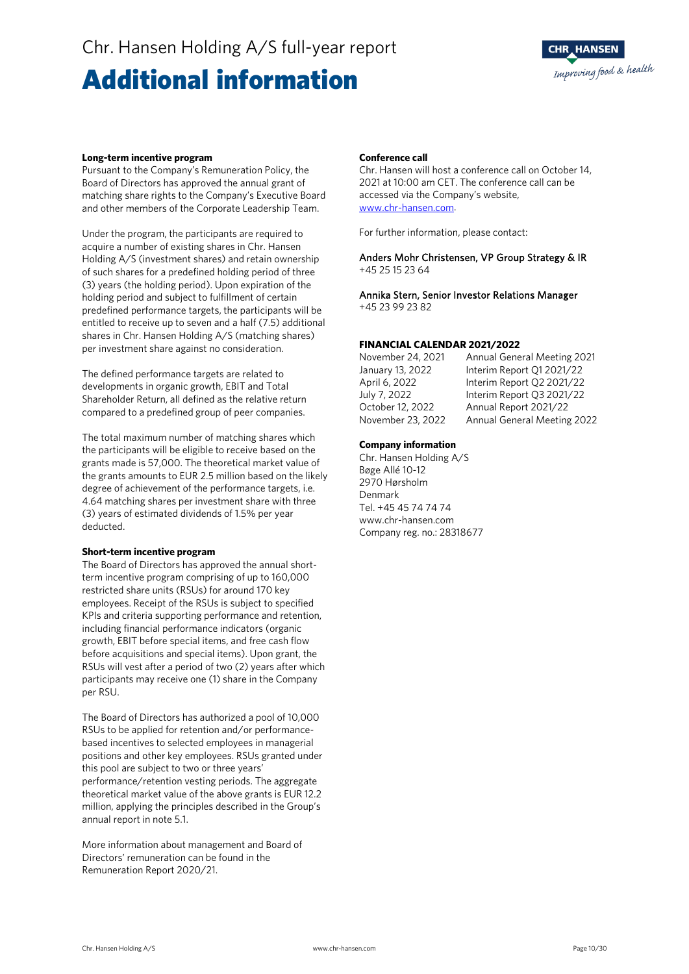### Chr. Hansen Holding A/S full-year report

### Additional information

### **CHR HANSEN** Improving food & health

#### **Long-term incentive program**

Pursuant to the Company's Remuneration Policy, the Board of Directors has approved the annual grant of matching share rights to the Company's Executive Board and other members of the Corporate Leadership Team.

Under the program, the participants are required to acquire a number of existing shares in Chr. Hansen Holding A/S (investment shares) and retain ownership of such shares for a predefined holding period of three (3) years (the holding period). Upon expiration of the holding period and subject to fulfillment of certain predefined performance targets, the participants will be entitled to receive up to seven and a half (7.5) additional shares in Chr. Hansen Holding A/S (matching shares) per investment share against no consideration.

The defined performance targets are related to developments in organic growth, EBIT and Total Shareholder Return, all defined as the relative return compared to a predefined group of peer companies.

The total maximum number of matching shares which the participants will be eligible to receive based on the grants made is 57,000. The theoretical market value of the grants amounts to EUR 2.5 million based on the likely degree of achievement of the performance targets, i.e. 4.64 matching shares per investment share with three (3) years of estimated dividends of 1.5% per year deducted.

#### **Short-term incentive program**

The Board of Directors has approved the annual shortterm incentive program comprising of up to 160,000 restricted share units (RSUs) for around 170 key employees. Receipt of the RSUs is subject to specified KPIs and criteria supporting performance and retention, including financial performance indicators (organic growth, EBIT before special items, and free cash flow before acquisitions and special items). Upon grant, the RSUs will vest after a period of two (2) years after which participants may receive one (1) share in the Company per RSU.

The Board of Directors has authorized a pool of 10,000 RSUs to be applied for retention and/or performancebased incentives to selected employees in managerial positions and other key employees. RSUs granted under this pool are subject to two or three years' performance/retention vesting periods. The aggregate theoretical market value of the above grants is EUR 12.2 million, applying the principles described in the Group's annual report in note 5.1.

More information about management and Board of Directors' remuneration can be found in the Remuneration Report 2020/21.

#### **Conference call**

Chr. Hansen will host a conference call on October 14, 2021 at 10:00 am CET. The conference call can be accessed via the Company's website, [www.chr-hansen.com.](http://www.chr-hansen.com/)

For further information, please contact:

Anders Mohr Christensen, VP Group Strategy & IR +45 25 15 23 64

Annika Stern, Senior Investor Relations Manager +45 23 99 23 82

#### **FINANCIAL CALENDAR 2021/2022**

October 12, 2022 Annual Report 2021/22 November 23, 2022 Annual General Meeting 2022

November 24, 2021 Annual General Meeting 2021 January 13, 2022 Interim Report Q1 2021/22 April 6, 2022 Interim Report Q2 2021/22 July 7, 2022 Interim Report Q3 2021/22

#### **Company information**

Chr. Hansen Holding A/S Bøge Allé 10-12 2970 Hørsholm Denmark Tel. +45 45 74 74 74 www.chr-hansen.com Company reg. no.: 28318677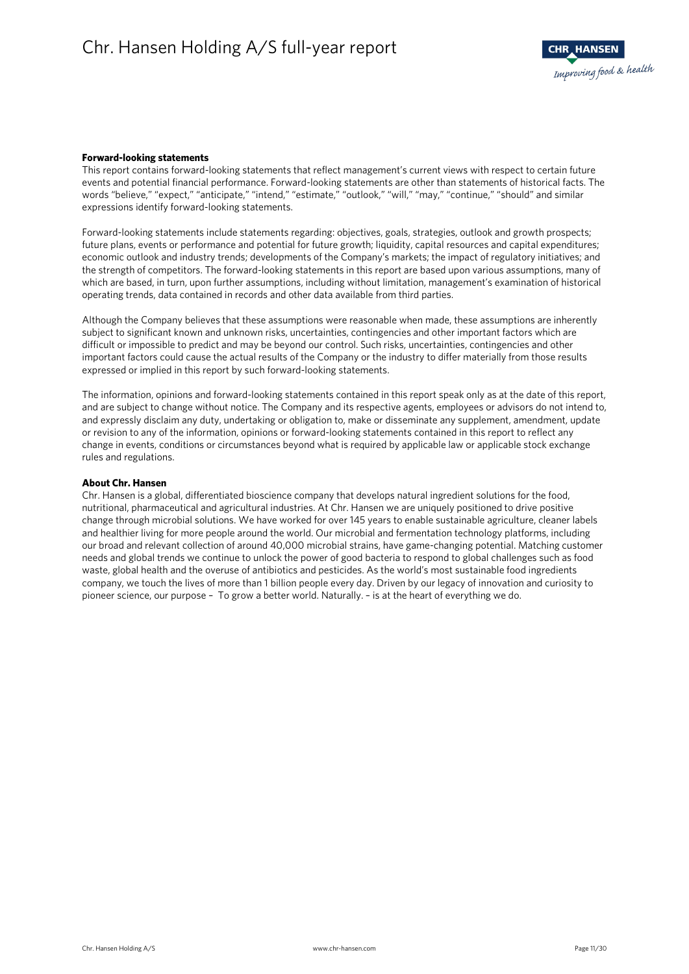#### **Forward-looking statements**

This report contains forward-looking statements that reflect management's current views with respect to certain future events and potential financial performance. Forward-looking statements are other than statements of historical facts. The words "believe," "expect," "anticipate," "intend," "estimate," "outlook," "will," "may," "continue," "should" and similar expressions identify forward-looking statements.

Forward-looking statements include statements regarding: objectives, goals, strategies, outlook and growth prospects; future plans, events or performance and potential for future growth; liquidity, capital resources and capital expenditures; economic outlook and industry trends; developments of the Company's markets; the impact of regulatory initiatives; and the strength of competitors. The forward-looking statements in this report are based upon various assumptions, many of which are based, in turn, upon further assumptions, including without limitation, management's examination of historical operating trends, data contained in records and other data available from third parties.

Although the Company believes that these assumptions were reasonable when made, these assumptions are inherently subject to significant known and unknown risks, uncertainties, contingencies and other important factors which are difficult or impossible to predict and may be beyond our control. Such risks, uncertainties, contingencies and other important factors could cause the actual results of the Company or the industry to differ materially from those results expressed or implied in this report by such forward-looking statements.

The information, opinions and forward-looking statements contained in this report speak only as at the date of this report, and are subject to change without notice. The Company and its respective agents, employees or advisors do not intend to, and expressly disclaim any duty, undertaking or obligation to, make or disseminate any supplement, amendment, update or revision to any of the information, opinions or forward-looking statements contained in this report to reflect any change in events, conditions or circumstances beyond what is required by applicable law or applicable stock exchange rules and regulations.

#### **About Chr. Hansen**

Chr. Hansen is a global, differentiated bioscience company that develops natural ingredient solutions for the food, nutritional, pharmaceutical and agricultural industries. At Chr. Hansen we are uniquely positioned to drive positive change through microbial solutions. We have worked for over 145 years to enable sustainable agriculture, cleaner labels and healthier living for more people around the world. Our microbial and fermentation technology platforms, including our broad and relevant collection of around 40,000 microbial strains, have game-changing potential. Matching customer needs and global trends we continue to unlock the power of good bacteria to respond to global challenges such as food waste, global health and the overuse of antibiotics and pesticides. As the world's most sustainable food ingredients company, we touch the lives of more than 1 billion people every day. Driven by our legacy of innovation and curiosity to pioneer science, our purpose – To grow a better world. Naturally. – is at the heart of everything we do.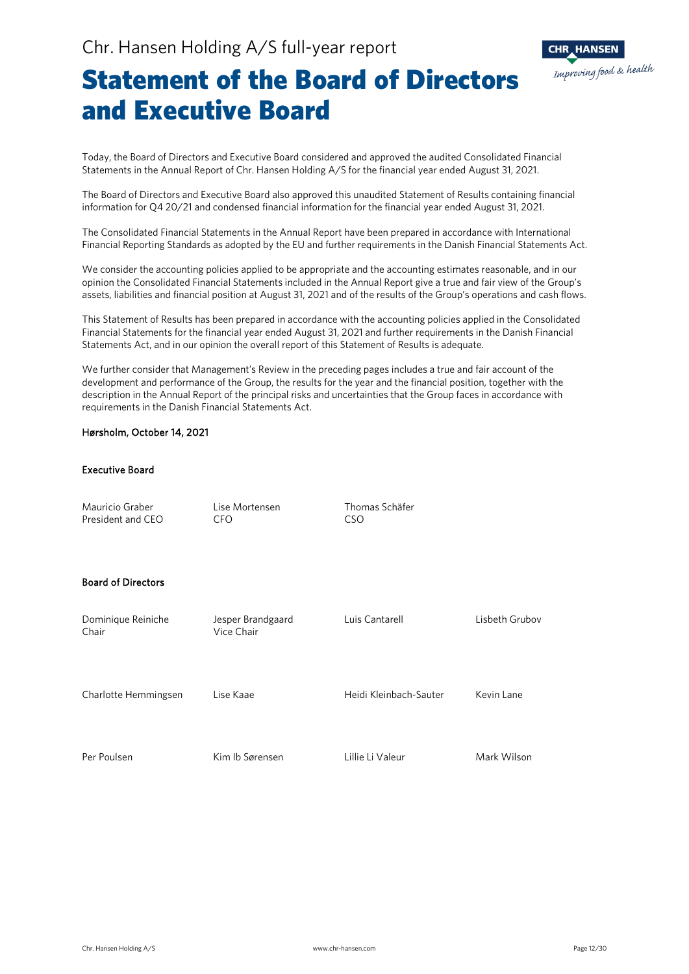

### Statement of the Board of Directors and Executive Board

Today, the Board of Directors and Executive Board considered and approved the audited Consolidated Financial Statements in the Annual Report of Chr. Hansen Holding A/S for the financial year ended August 31, 2021.

The Board of Directors and Executive Board also approved this unaudited Statement of Results containing financial information for Q4 20/21 and condensed financial information for the financial year ended August 31, 2021.

The Consolidated Financial Statements in the Annual Report have been prepared in accordance with International Financial Reporting Standards as adopted by the EU and further requirements in the Danish Financial Statements Act.

We consider the accounting policies applied to be appropriate and the accounting estimates reasonable, and in our opinion the Consolidated Financial Statements included in the Annual Report give a true and fair view of the Group's assets, liabilities and financial position at August 31, 2021 and of the results of the Group's operations and cash flows.

This Statement of Results has been prepared in accordance with the accounting policies applied in the Consolidated Financial Statements for the financial year ended August 31, 2021 and further requirements in the Danish Financial Statements Act, and in our opinion the overall report of this Statement of Results is adequate.

We further consider that Management's Review in the preceding pages includes a true and fair account of the development and performance of the Group, the results for the year and the financial position, together with the description in the Annual Report of the principal risks and uncertainties that the Group faces in accordance with requirements in the Danish Financial Statements Act.

#### Hørsholm, October 14, 2021

#### Executive Board

Mauricio Graber Lise Mortensen Thomas Schäfer President and CEO CFO CSO

#### Board of Directors

| Dominique Reiniche<br>Chair | Jesper Brandgaard<br>Vice Chair | Luis Cantarell<br>Lisbeth Grubov |             |  |  |
|-----------------------------|---------------------------------|----------------------------------|-------------|--|--|
| Charlotte Hemmingsen        | Lise Kaae                       | Heidi Kleinbach-Sauter           | Kevin Lane  |  |  |
| Per Poulsen                 | Kim Ib Sørensen                 | Lillie Li Valeur                 | Mark Wilson |  |  |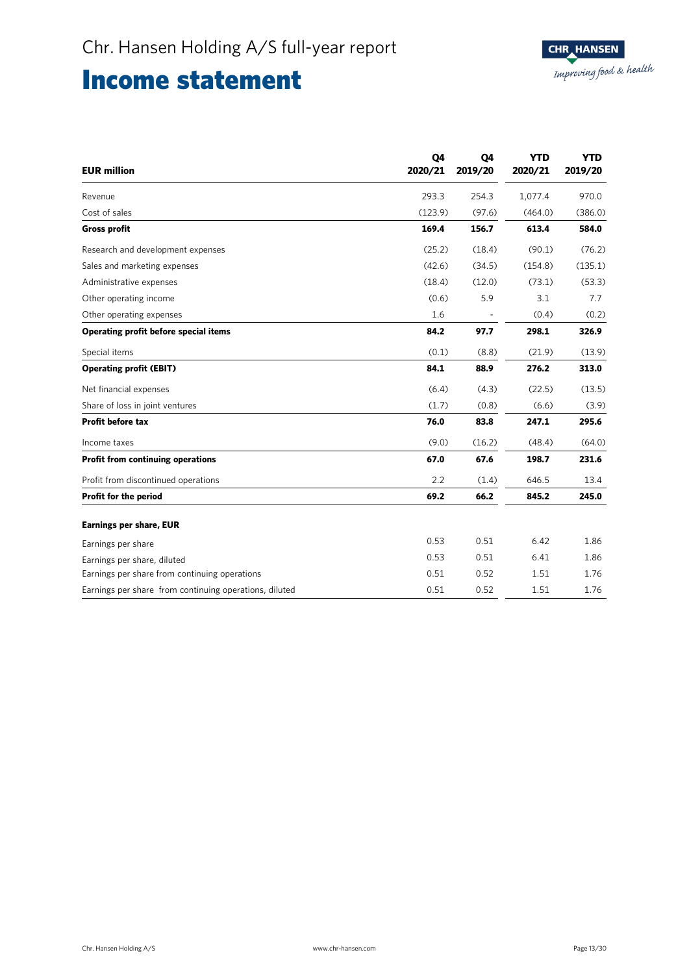### Income statement

| <b>EUR</b> million                                     | Q4<br>2020/21 | Q4<br>2019/20 | <b>YTD</b><br>2020/21 | <b>YTD</b><br>2019/20 |
|--------------------------------------------------------|---------------|---------------|-----------------------|-----------------------|
| Revenue                                                | 293.3         | 254.3         | 1,077.4               | 970.0                 |
| Cost of sales                                          | (123.9)       | (97.6)        | (464.0)               | (386.0)               |
| <b>Gross profit</b>                                    | 169.4         | 156.7         | 613.4                 | 584.0                 |
| Research and development expenses                      | (25.2)        | (18.4)        | (90.1)                | (76.2)                |
| Sales and marketing expenses                           | (42.6)        | (34.5)        | (154.8)               | (135.1)               |
| Administrative expenses                                | (18.4)        | (12.0)        | (73.1)                | (53.3)                |
| Other operating income                                 | (0.6)         | 5.9           | 3.1                   | 7.7                   |
| Other operating expenses                               | 1.6           |               | (0.4)                 | (0.2)                 |
| Operating profit before special items                  | 84.2          | 97.7          | 298.1                 | 326.9                 |
| Special items                                          | (0.1)         | (8.8)         | (21.9)                | (13.9)                |
| <b>Operating profit (EBIT)</b>                         | 84.1          | 88.9          | 276.2                 | 313.0                 |
| Net financial expenses                                 | (6.4)         | (4.3)         | (22.5)                | (13.5)                |
| Share of loss in joint ventures                        | (1.7)         | (0.8)         | (6.6)                 | (3.9)                 |
| <b>Profit before tax</b>                               | 76.0          | 83.8          | 247.1                 | 295.6                 |
| Income taxes                                           | (9.0)         | (16.2)        | (48.4)                | (64.0)                |
| <b>Profit from continuing operations</b>               | 67.0          | 67.6          | 198.7                 | 231.6                 |
| Profit from discontinued operations                    | 2.2           | (1.4)         | 646.5                 | 13.4                  |
| Profit for the period                                  | 69.2          | 66.2          | 845.2                 | 245.0                 |
| <b>Earnings per share, EUR</b>                         |               |               |                       |                       |
| Earnings per share                                     | 0.53          | 0.51          | 6.42                  | 1.86                  |
| Earnings per share, diluted                            | 0.53          | 0.51          | 6.41                  | 1.86                  |
| Earnings per share from continuing operations          | 0.51          | 0.52          | 1.51                  | 1.76                  |
| Earnings per share from continuing operations, diluted | 0.51          | 0.52          | 1.51                  | 1.76                  |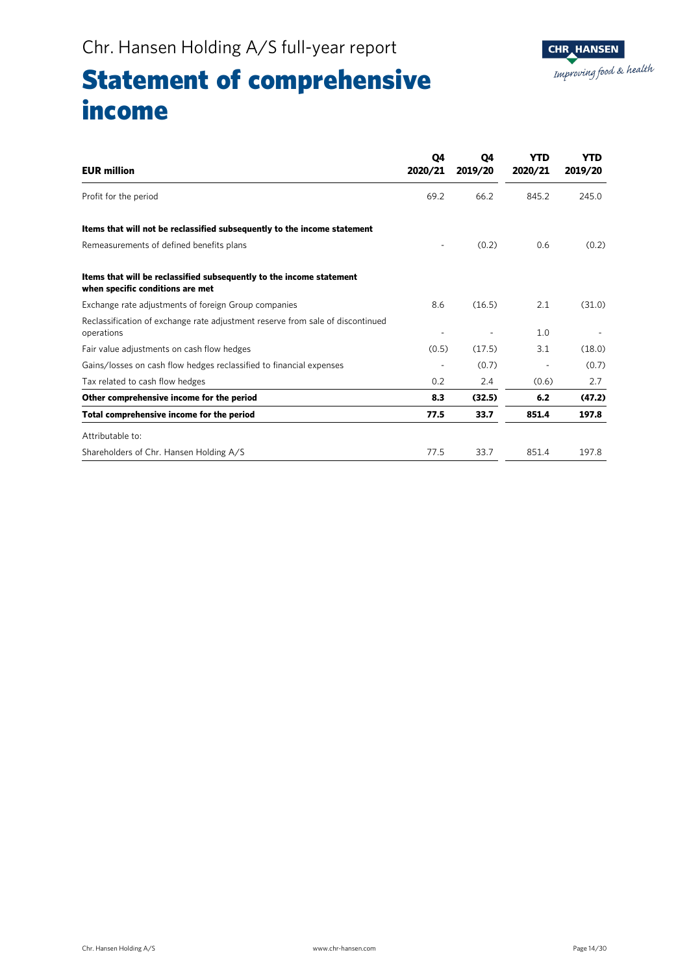### Statement of comprehensive income

| <b>EUR million</b>                                                                                       | Q4<br>2020/21 | Q4<br>2019/20 | YTD<br>2020/21 | <b>YTD</b><br>2019/20 |
|----------------------------------------------------------------------------------------------------------|---------------|---------------|----------------|-----------------------|
| Profit for the period                                                                                    | 69.2          | 66.2          | 845.2          | 245.0                 |
| Items that will not be reclassified subsequently to the income statement                                 |               |               |                |                       |
| Remeasurements of defined benefits plans                                                                 | ٠             | (0.2)         | 0.6            | (0.2)                 |
| Items that will be reclassified subsequently to the income statement<br>when specific conditions are met |               |               |                |                       |
| Exchange rate adjustments of foreign Group companies                                                     | 8.6           | (16.5)        | 2.1            | (31.0)                |
| Reclassification of exchange rate adjustment reserve from sale of discontinued<br>operations             |               |               | 1.0            |                       |
| Fair value adjustments on cash flow hedges                                                               | (0.5)         | (17.5)        | 3.1            | (18.0)                |
| Gains/losses on cash flow hedges reclassified to financial expenses                                      |               | (0.7)         |                | (0.7)                 |
| Tax related to cash flow hedges                                                                          | 0.2           | 2.4           | (0.6)          | 2.7                   |
| Other comprehensive income for the period                                                                | 8.3           | (32.5)        | 6.2            | (47.2)                |
| Total comprehensive income for the period                                                                | 77.5          | 33.7          | 851.4          | 197.8                 |
| Attributable to:                                                                                         |               |               |                |                       |
| Shareholders of Chr. Hansen Holding A/S                                                                  | 77.5          | 33.7          | 851.4          | 197.8                 |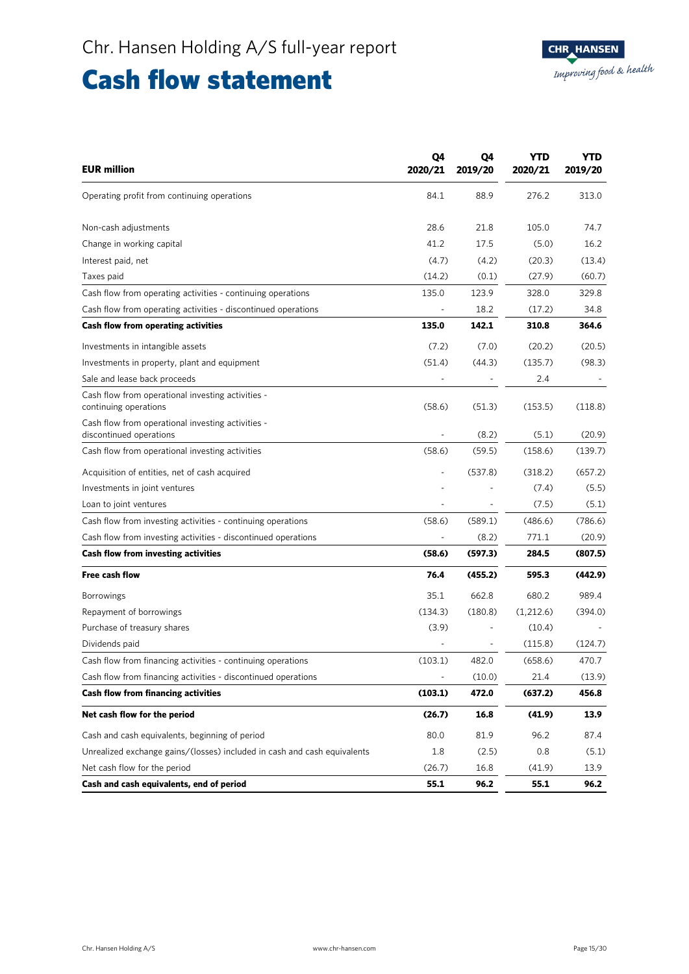### Cash flow statement

| <b>EUR million</b>                                                           | Q4<br>2020/21            | Q4<br>2019/20 | <b>YTD</b><br>2020/21 | YTD<br>2019/20 |
|------------------------------------------------------------------------------|--------------------------|---------------|-----------------------|----------------|
| Operating profit from continuing operations                                  | 84.1                     | 88.9          | 276.2                 | 313.0          |
| Non-cash adjustments                                                         | 28.6                     | 21.8          | 105.0                 | 74.7           |
| Change in working capital                                                    | 41.2                     | 17.5          | (5.0)                 | 16.2           |
| Interest paid, net                                                           | (4.7)                    | (4.2)         | (20.3)                | (13.4)         |
| Taxes paid                                                                   | (14.2)                   | (0.1)         | (27.9)                | (60.7)         |
| Cash flow from operating activities - continuing operations                  | 135.0                    | 123.9         | 328.0                 | 329.8          |
| Cash flow from operating activities - discontinued operations                |                          | 18.2          | (17.2)                | 34.8           |
| <b>Cash flow from operating activities</b>                                   | 135.0                    | 142.1         | 310.8                 | 364.6          |
| Investments in intangible assets                                             | (7.2)                    | (7.0)         | (20.2)                | (20.5)         |
| Investments in property, plant and equipment                                 | (51.4)                   | (44.3)        | (135.7)               | (98.3)         |
| Sale and lease back proceeds                                                 |                          |               | 2.4                   |                |
| Cash flow from operational investing activities -<br>continuing operations   | (58.6)                   | (51.3)        | (153.5)               | (118.8)        |
| Cash flow from operational investing activities -<br>discontinued operations |                          | (8.2)         | (5.1)                 | (20.9)         |
| Cash flow from operational investing activities                              | (58.6)                   | (59.5)        | (158.6)               | (139.7)        |
| Acquisition of entities, net of cash acquired                                |                          | (537.8)       | (318.2)               | (657.2)        |
| Investments in joint ventures                                                |                          |               | (7.4)                 | (5.5)          |
| Loan to joint ventures                                                       |                          |               | (7.5)                 | (5.1)          |
| Cash flow from investing activities - continuing operations                  | (58.6)                   | (589.1)       | (486.6)               | (786.6)        |
| Cash flow from investing activities - discontinued operations                | $\blacksquare$           | (8.2)         | 771.1                 | (20.9)         |
| <b>Cash flow from investing activities</b>                                   | (58.6)                   | (597.3)       | 284.5                 | (807.5)        |
| Free cash flow                                                               | 76.4                     | (455.2)       | 595.3                 | (442.9)        |
| <b>Borrowings</b>                                                            | 35.1                     | 662.8         | 680.2                 | 989.4          |
| Repayment of borrowings                                                      | (134.3)                  | (180.8)       | (1,212.6)             | (394.0)        |
| Purchase of treasury shares                                                  | (3.9)                    |               | (10.4)                |                |
| Dividends paid                                                               |                          |               | (115.8)               | (124.7)        |
| Cash flow from financing activities - continuing operations                  | (103.1)                  | 482.0         | (658.6)               | 470.7          |
| Cash flow from financing activities - discontinued operations                | $\overline{\phantom{a}}$ | (10.0)        | 21.4                  | (13.9)         |
| Cash flow from financing activities                                          | (103.1)                  | 472.0         | (637.2)               | 456.8          |
| Net cash flow for the period                                                 | (26.7)                   | 16.8          | (41.9)                | 13.9           |
| Cash and cash equivalents, beginning of period                               | 80.0                     | 81.9          | 96.2                  | 87.4           |
| Unrealized exchange gains/(losses) included in cash and cash equivalents     | 1.8                      | (2.5)         | 0.8                   | (5.1)          |
| Net cash flow for the period                                                 | (26.7)                   | 16.8          | (41.9)                | 13.9           |
| Cash and cash equivalents, end of period                                     | 55.1                     | 96.2          | 55.1                  | 96.2           |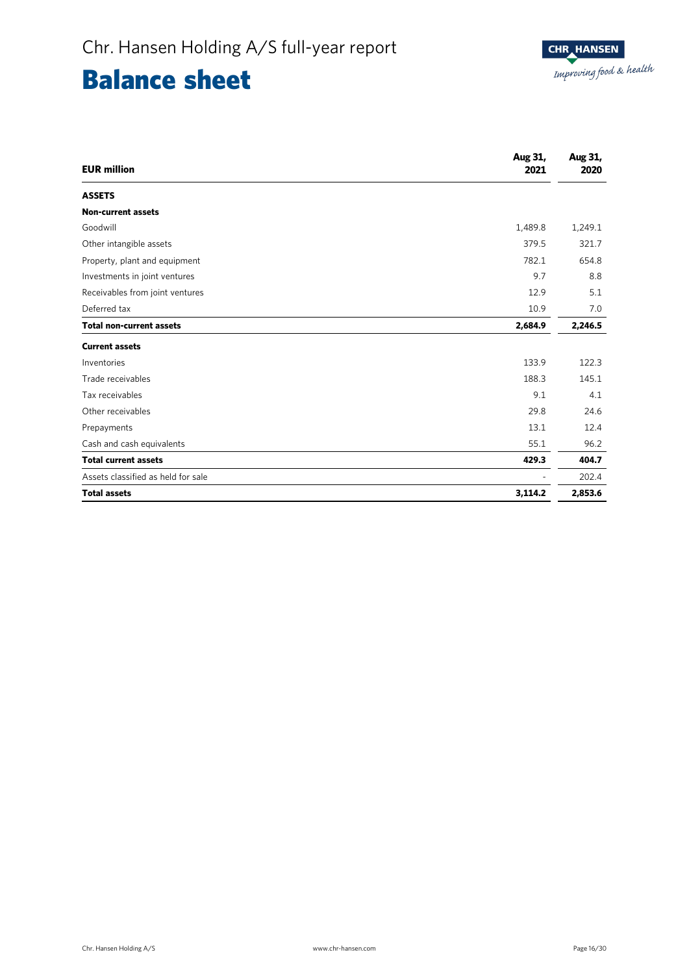## Balance sheet

| <b>EUR</b> million                 | Aug 31,<br>2021 | Aug 31,<br>2020 |
|------------------------------------|-----------------|-----------------|
| <b>ASSETS</b>                      |                 |                 |
| <b>Non-current assets</b>          |                 |                 |
| Goodwill                           | 1,489.8         | 1,249.1         |
| Other intangible assets            | 379.5           | 321.7           |
| Property, plant and equipment      | 782.1           | 654.8           |
| Investments in joint ventures      | 9.7             | 8.8             |
| Receivables from joint ventures    | 12.9            | 5.1             |
| Deferred tax                       | 10.9            | 7.0             |
| <b>Total non-current assets</b>    | 2,684.9         | 2,246.5         |
| <b>Current assets</b>              |                 |                 |
| Inventories                        | 133.9           | 122.3           |
| Trade receivables                  | 188.3           | 145.1           |
| Tax receivables                    | 9.1             | 4.1             |
| Other receivables                  | 29.8            | 24.6            |
| Prepayments                        | 13.1            | 12.4            |
| Cash and cash equivalents          | 55.1            | 96.2            |
| <b>Total current assets</b>        | 429.3           | 404.7           |
| Assets classified as held for sale |                 | 202.4           |
| <b>Total assets</b>                | 3,114.2         | 2,853.6         |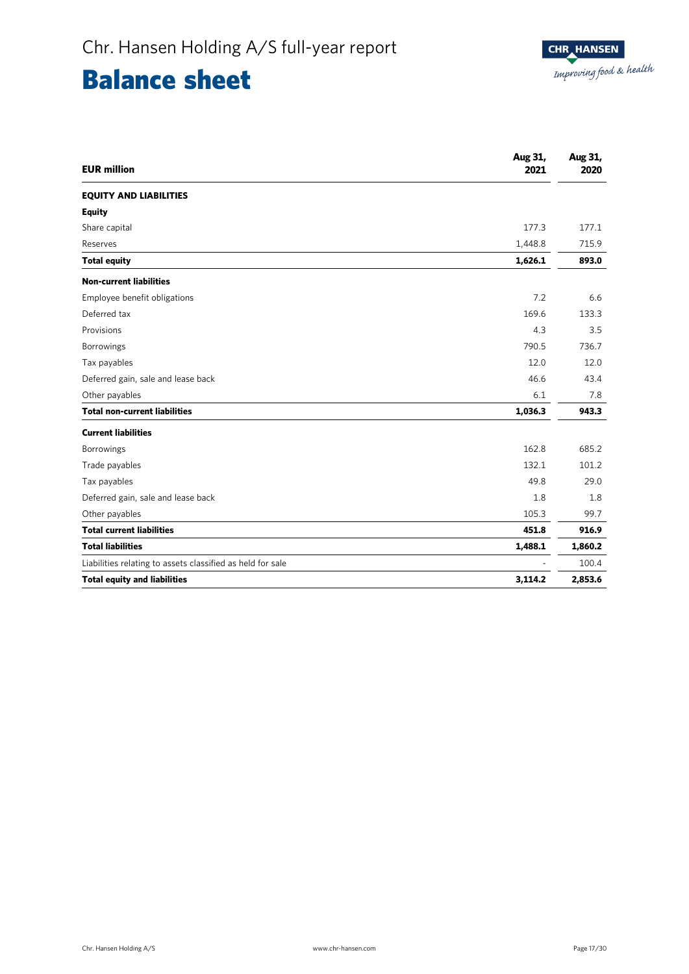### Balance sheet

| <b>EUR million</b>                                         | Aug 31,<br>2021 | Aug 31,<br>2020 |
|------------------------------------------------------------|-----------------|-----------------|
| <b>EQUITY AND LIABILITIES</b>                              |                 |                 |
| <b>Equity</b>                                              |                 |                 |
| Share capital                                              | 177.3           | 177.1           |
| Reserves                                                   | 1,448.8         | 715.9           |
| <b>Total equity</b>                                        | 1,626.1         | 893.0           |
| <b>Non-current liabilities</b>                             |                 |                 |
| Employee benefit obligations                               | 7.2             | 6.6             |
| Deferred tax                                               | 169.6           | 133.3           |
| Provisions                                                 | 4.3             | 3.5             |
| Borrowings                                                 | 790.5           | 736.7           |
| Tax payables                                               | 12.0            | 12.0            |
| Deferred gain, sale and lease back                         | 46.6            | 43.4            |
| Other payables                                             | 6.1             | 7.8             |
| <b>Total non-current liabilities</b>                       | 1,036.3         | 943.3           |
| <b>Current liabilities</b>                                 |                 |                 |
| <b>Borrowings</b>                                          | 162.8           | 685.2           |
| Trade payables                                             | 132.1           | 101.2           |
| Tax payables                                               | 49.8            | 29.0            |
| Deferred gain, sale and lease back                         | 1.8             | 1.8             |
| Other payables                                             | 105.3           | 99.7            |
| <b>Total current liabilities</b>                           | 451.8           | 916.9           |
| <b>Total liabilities</b>                                   | 1,488.1         | 1,860.2         |
| Liabilities relating to assets classified as held for sale |                 | 100.4           |
| <b>Total equity and liabilities</b>                        | 3,114.2         | 2,853.6         |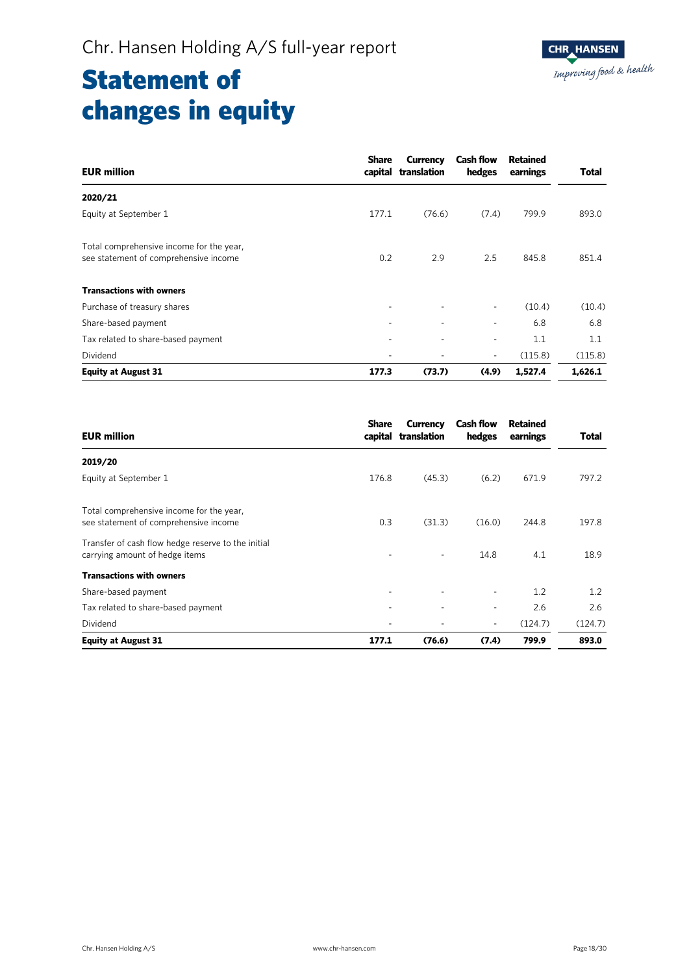| <b>EUR million</b>                                                                | <b>Share</b><br>capital | <b>Currency</b><br>translation | <b>Cash flow</b><br>hedges | <b>Retained</b><br>earnings | <b>Total</b> |
|-----------------------------------------------------------------------------------|-------------------------|--------------------------------|----------------------------|-----------------------------|--------------|
| 2020/21                                                                           |                         |                                |                            |                             |              |
| Equity at September 1                                                             | 177.1                   | (76.6)                         | (7.4)                      | 799.9                       | 893.0        |
| Total comprehensive income for the year,<br>see statement of comprehensive income | 0.2                     | 2.9                            | 2.5                        | 845.8                       | 851.4        |
| <b>Transactions with owners</b>                                                   |                         |                                |                            |                             |              |
| Purchase of treasury shares                                                       | ٠                       |                                | $\overline{\phantom{a}}$   | (10.4)                      | (10.4)       |
| Share-based payment                                                               | ٠                       |                                |                            | 6.8                         | 6.8          |
| Tax related to share-based payment                                                |                         |                                | ٠                          | 1.1                         | 1.1          |
| Dividend                                                                          | ٠                       |                                | $\overline{\phantom{a}}$   | (115.8)                     | (115.8)      |
| <b>Equity at August 31</b>                                                        | 177.3                   | (73.7)                         | (4.9)                      | 1,527.4                     | 1,626.1      |

| <b>EUR million</b>                                                                   | <b>Share</b> | Currency<br>capital translation | <b>Cash flow</b><br>hedges | Retained<br>earnings | Total   |
|--------------------------------------------------------------------------------------|--------------|---------------------------------|----------------------------|----------------------|---------|
| 2019/20                                                                              |              |                                 |                            |                      |         |
| Equity at September 1                                                                | 176.8        | (45.3)                          | (6.2)                      | 671.9                | 797.2   |
| Total comprehensive income for the year,<br>see statement of comprehensive income    | 0.3          | (31.3)                          | (16.0)                     | 244.8                | 197.8   |
| Transfer of cash flow hedge reserve to the initial<br>carrying amount of hedge items |              | ٠                               | 14.8                       | 4.1                  | 18.9    |
| <b>Transactions with owners</b>                                                      |              |                                 |                            |                      |         |
| Share-based payment                                                                  |              | ٠                               | ٠                          | 1.2                  | 1.2     |
| Tax related to share-based payment                                                   |              |                                 | ٠                          | 2.6                  | 2.6     |
| Dividend                                                                             |              |                                 | ٠                          | (124.7)              | (124.7) |
| <b>Equity at August 31</b>                                                           | 177.1        | (76.6)                          | (7.4)                      | 799.9                | 893.0   |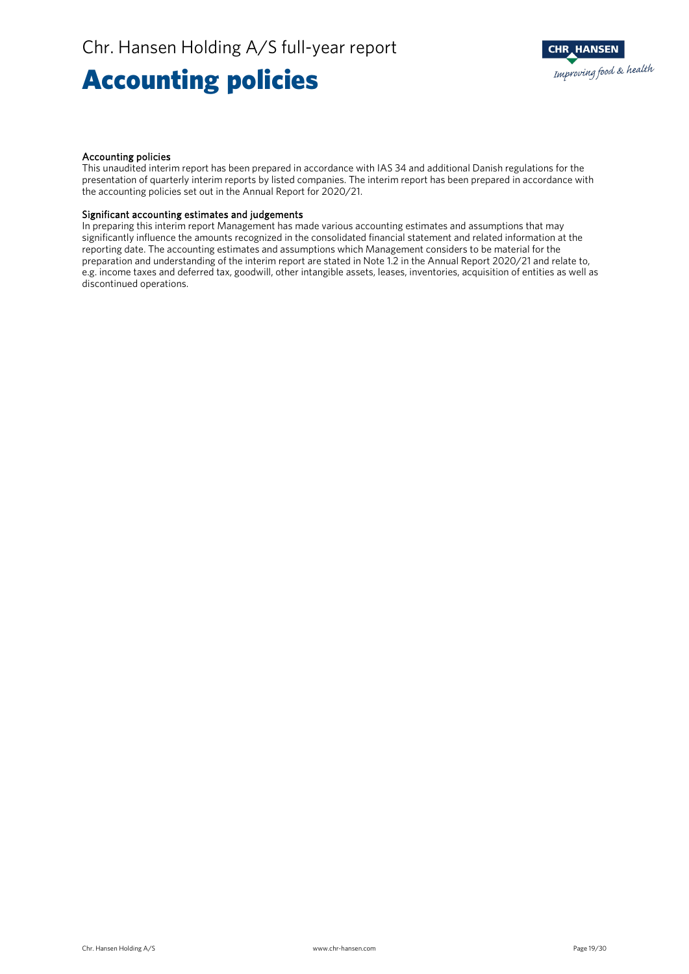## Accounting policies

#### Accounting policies

This unaudited interim report has been prepared in accordance with IAS 34 and additional Danish regulations for the presentation of quarterly interim reports by listed companies. The interim report has been prepared in accordance with the accounting policies set out in the Annual Report for 2020/21.

#### Significant accounting estimates and judgements

In preparing this interim report Management has made various accounting estimates and assumptions that may significantly influence the amounts recognized in the consolidated financial statement and related information at the reporting date. The accounting estimates and assumptions which Management considers to be material for the preparation and understanding of the interim report are stated in Note 1.2 in the Annual Report 2020/21 and relate to, e.g. income taxes and deferred tax, goodwill, other intangible assets, leases, inventories, acquisition of entities as well as discontinued operations.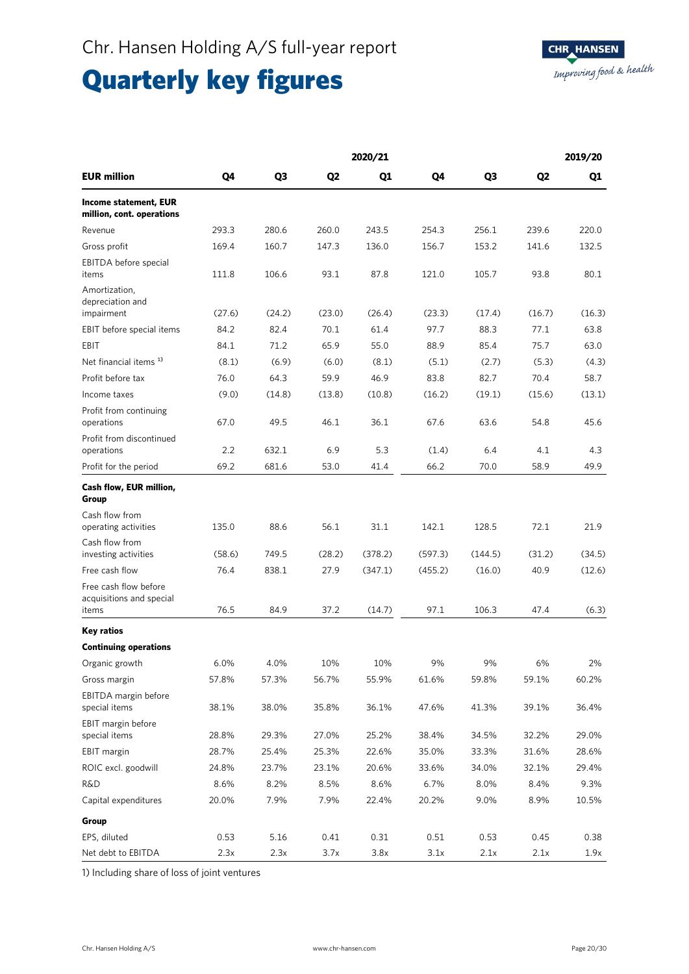## Quarterly key figures

|                                                            |                |                |                | 2020/21 |         |         |                | 2019/20 |
|------------------------------------------------------------|----------------|----------------|----------------|---------|---------|---------|----------------|---------|
| <b>EUR million</b>                                         | Q <sub>4</sub> | Q <sub>3</sub> | Q <sub>2</sub> | Q1      | Q4      | Q3      | Q <sub>2</sub> | Q1      |
| <b>Income statement, EUR</b><br>million, cont. operations  |                |                |                |         |         |         |                |         |
| Revenue                                                    | 293.3          | 280.6          | 260.0          | 243.5   | 254.3   | 256.1   | 239.6          | 220.0   |
| Gross profit                                               | 169.4          | 160.7          | 147.3          | 136.0   | 156.7   | 153.2   | 141.6          | 132.5   |
| EBITDA before special<br>items                             | 111.8          | 106.6          | 93.1           | 87.8    | 121.0   | 105.7   | 93.8           | 80.1    |
| Amortization,<br>depreciation and<br>impairment            | (27.6)         | (24.2)         | (23.0)         | (26.4)  | (23.3)  | (17.4)  | (16.7)         | (16.3)  |
| EBIT before special items                                  | 84.2           | 82.4           | 70.1           | 61.4    | 97.7    | 88.3    | 77.1           | 63.8    |
| EBIT                                                       | 84.1           | 71.2           | 65.9           | 55.0    | 88.9    | 85.4    | 75.7           | 63.0    |
| Net financial items <sup>1)</sup>                          | (8.1)          | (6.9)          | (6.0)          | (8.1)   | (5.1)   | (2.7)   | (5.3)          | (4.3)   |
|                                                            |                |                |                |         |         |         | 70.4           |         |
| Profit before tax                                          | 76.0           | 64.3           | 59.9           | 46.9    | 83.8    | 82.7    |                | 58.7    |
| Income taxes                                               | (9.0)          | (14.8)         | (13.8)         | (10.8)  | (16.2)  | (19.1)  | (15.6)         | (13.1)  |
| Profit from continuing<br>operations                       | 67.0           | 49.5           | 46.1           | 36.1    | 67.6    | 63.6    | 54.8           | 45.6    |
| Profit from discontinued<br>operations                     | 2.2            | 632.1          | 6.9            | 5.3     | (1.4)   | 6.4     | 4.1            | 4.3     |
| Profit for the period                                      | 69.2           | 681.6          | 53.0           | 41.4    | 66.2    | 70.0    | 58.9           | 49.9    |
| Cash flow, EUR million,<br>Group                           |                |                |                |         |         |         |                |         |
| Cash flow from<br>operating activities                     | 135.0          | 88.6           | 56.1           | 31.1    | 142.1   | 128.5   | 72.1           | 21.9    |
| Cash flow from<br>investing activities                     | (58.6)         | 749.5          | (28.2)         | (378.2) | (597.3) | (144.5) | (31.2)         | (34.5)  |
| Free cash flow                                             | 76.4           | 838.1          | 27.9           | (347.1) | (455.2) | (16.0)  | 40.9           | (12.6)  |
| Free cash flow before<br>acquisitions and special<br>items | 76.5           | 84.9           | 37.2           | (14.7)  | 97.1    | 106.3   | 47.4           | (6.3)   |
| <b>Key ratios</b>                                          |                |                |                |         |         |         |                |         |
| <b>Continuing operations</b>                               |                |                |                |         |         |         |                |         |
| Organic growth                                             | 6.0%           | 4.0%           | 10%            | 10%     | 9%      | 9%      | 6%             | 2%      |
| Gross margin                                               | 57.8%          | 57.3%          | 56.7%          | 55.9%   | 61.6%   | 59.8%   | 59.1%          | 60.2%   |
| EBITDA margin before<br>special items                      | 38.1%          | 38.0%          | 35.8%          | 36.1%   | 47.6%   | 41.3%   | 39.1%          | 36.4%   |
| EBIT margin before<br>special items                        | 28.8%          | 29.3%          | 27.0%          | 25.2%   | 38.4%   | 34.5%   | 32.2%          | 29.0%   |
| EBIT margin                                                | 28.7%          | 25.4%          | 25.3%          | 22.6%   | 35.0%   | 33.3%   | 31.6%          | 28.6%   |
| ROIC excl. goodwill                                        | 24.8%          | 23.7%          | 23.1%          | 20.6%   | 33.6%   | 34.0%   | 32.1%          | 29.4%   |
| R&D                                                        | 8.6%           | 8.2%           | 8.5%           | 8.6%    | 6.7%    | 8.0%    | 8.4%           | 9.3%    |
| Capital expenditures                                       | 20.0%          | 7.9%           | 7.9%           | 22.4%   | 20.2%   | 9.0%    | 8.9%           | 10.5%   |
|                                                            |                |                |                |         |         |         |                |         |
| Group                                                      |                |                |                |         |         |         |                |         |
| EPS, diluted                                               | 0.53           | 5.16           | 0.41           | 0.31    | 0.51    | 0.53    | 0.45           | 0.38    |
| Net debt to EBITDA                                         | 2.3x           | 2.3x           | 3.7x           | 3.8x    | 3.1x    | 2.1x    | 2.1x           | 1.9x    |

1) Including share of loss of joint ventures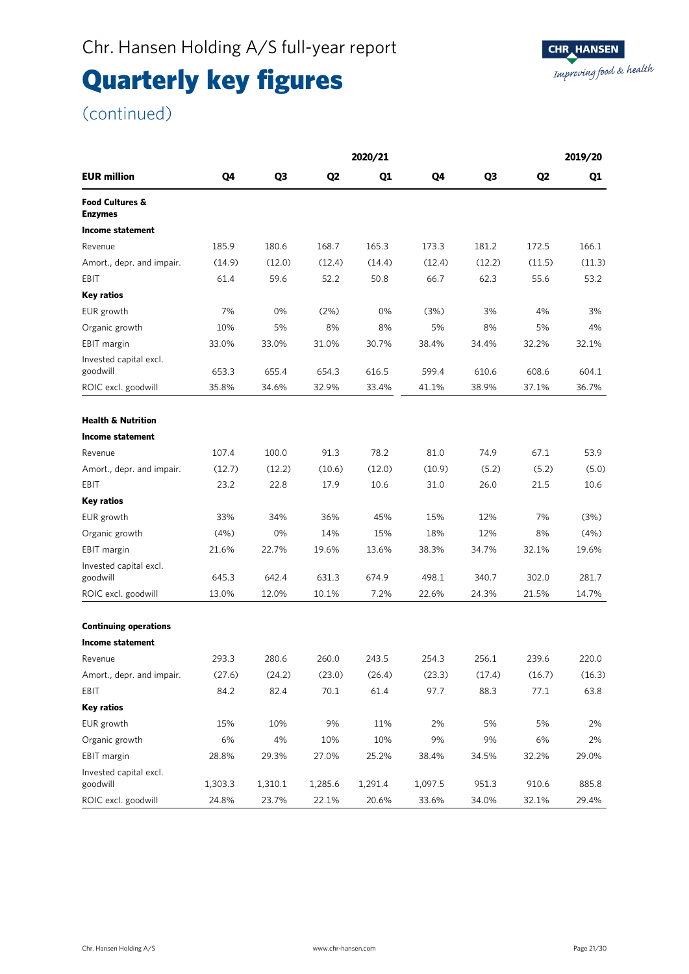## Quarterly key figures

(continued)

|                                              |         |                |                | 2020/21 |         |                |                | 2019/20 |
|----------------------------------------------|---------|----------------|----------------|---------|---------|----------------|----------------|---------|
| <b>EUR million</b>                           | Q4      | Q <sub>3</sub> | Q <sub>2</sub> | Q1      | Q4      | Q <sub>3</sub> | Q <sub>2</sub> | Q1      |
| <b>Food Cultures &amp;</b><br><b>Enzymes</b> |         |                |                |         |         |                |                |         |
| <b>Income statement</b>                      |         |                |                |         |         |                |                |         |
| Revenue                                      | 185.9   | 180.6          | 168.7          | 165.3   | 173.3   | 181.2          | 172.5          | 166.1   |
| Amort., depr. and impair.                    | (14.9)  | (12.0)         | (12.4)         | (14.4)  | (12.4)  | (12.2)         | (11.5)         | (11.3)  |
| EBIT                                         | 61.4    | 59.6           | 52.2           | 50.8    | 66.7    | 62.3           | 55.6           | 53.2    |
| Key ratios                                   |         |                |                |         |         |                |                |         |
| EUR growth                                   | 7%      | 0%             | (2%)           | 0%      | (3%)    | 3%             | 4%             | 3%      |
| Organic growth                               | 10%     | 5%             | 8%             | 8%      | 5%      | 8%             | 5%             | 4%      |
| EBIT margin                                  | 33.0%   | 33.0%          | 31.0%          | 30.7%   | 38.4%   | 34.4%          | 32.2%          | 32.1%   |
| Invested capital excl.<br>goodwill           | 653.3   | 655.4          | 654.3          | 616.5   | 599.4   | 610.6          | 608.6          | 604.1   |
| ROIC excl. goodwill                          | 35.8%   | 34.6%          | 32.9%          | 33.4%   | 41.1%   | 38.9%          | 37.1%          | 36.7%   |
|                                              |         |                |                |         |         |                |                |         |
| <b>Health &amp; Nutrition</b>                |         |                |                |         |         |                |                |         |
| Income statement                             |         |                |                |         |         |                |                |         |
| Revenue                                      | 107.4   | 100.0          | 91.3           | 78.2    | 81.0    | 74.9           | 67.1           | 53.9    |
| Amort., depr. and impair.                    | (12.7)  | (12.2)         | (10.6)         | (12.0)  | (10.9)  | (5.2)          | (5.2)          | (5.0)   |
| EBIT                                         | 23.2    | 22.8           | 17.9           | 10.6    | 31.0    | 26.0           | 21.5           | 10.6    |
| <b>Key ratios</b>                            |         |                |                |         |         |                |                |         |
| EUR growth                                   | 33%     | 34%            | 36%            | 45%     | 15%     | 12%            | 7%             | (3%)    |
| Organic growth                               | (4%)    | 0%             | 14%            | 15%     | 18%     | 12%            | 8%             | (4%)    |
| EBIT margin                                  | 21.6%   | 22.7%          | 19.6%          | 13.6%   | 38.3%   | 34.7%          | 32.1%          | 19.6%   |
| Invested capital excl.<br>goodwill           | 645.3   | 642.4          | 631.3          | 674.9   | 498.1   | 340.7          | 302.0          | 281.7   |
| ROIC excl. goodwill                          | 13.0%   | 12.0%          | 10.1%          | 7.2%    | 22.6%   | 24.3%          | 21.5%          | 14.7%   |
|                                              |         |                |                |         |         |                |                |         |
| <b>Continuing operations</b>                 |         |                |                |         |         |                |                |         |
| <b>Income statement</b>                      |         |                |                |         |         |                |                |         |
| Revenue                                      | 293.3   | 280.6          | 260.0          | 243.5   | 254.3   | 256.1          | 239.6          | 220.0   |
| Amort., depr. and impair.                    | (27.6)  | (24.2)         | (23.0)         | (26.4)  | (23.3)  | (17.4)         | (16.7)         | (16.3)  |
| EBIT                                         | 84.2    | 82.4           | 70.1           | 61.4    | 97.7    | 88.3           | 77.1           | 63.8    |
| <b>Key ratios</b>                            |         |                |                |         |         |                |                |         |
| EUR growth                                   | 15%     | 10%            | 9%             | 11%     | 2%      | 5%             | 5%             | 2%      |
| Organic growth                               | $6\%$   | 4%             | 10%            | 10%     | 9%      | 9%             | 6%             | 2%      |
| EBIT margin                                  | 28.8%   | 29.3%          | 27.0%          | 25.2%   | 38.4%   | 34.5%          | 32.2%          | 29.0%   |
| Invested capital excl.<br>goodwill           | 1,303.3 | 1,310.1        | 1,285.6        | 1,291.4 | 1,097.5 | 951.3          | 910.6          | 885.8   |
| ROIC excl. goodwill                          | 24.8%   | 23.7%          | 22.1%          | 20.6%   | 33.6%   | 34.0%          | 32.1%          | 29.4%   |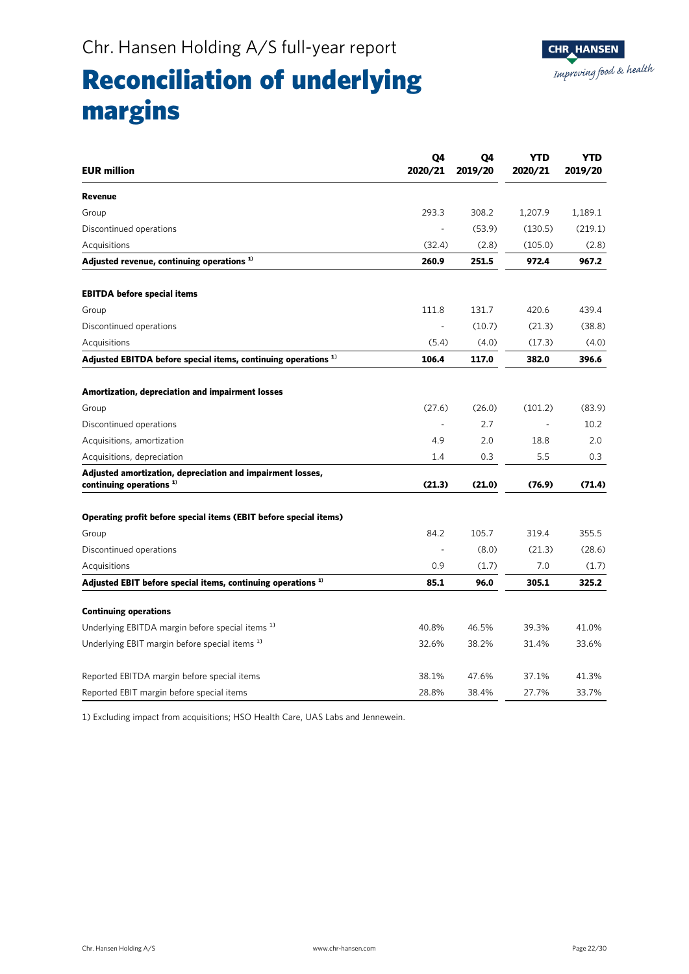### **CHR\_HANSEN** Improving food & health

### Reconciliation of underlying margins

| <b>EUR million</b>                                                                      | Q <sub>4</sub><br>2020/21 | Q4<br>2019/20 | YTD<br>2020/21 | <b>YTD</b><br>2019/20 |
|-----------------------------------------------------------------------------------------|---------------------------|---------------|----------------|-----------------------|
| Revenue                                                                                 |                           |               |                |                       |
| Group                                                                                   | 293.3                     | 308.2         | 1,207.9        | 1,189.1               |
| Discontinued operations                                                                 |                           | (53.9)        | (130.5)        | (219.1)               |
| Acquisitions                                                                            | (32.4)                    | (2.8)         | (105.0)        | (2.8)                 |
| Adjusted revenue, continuing operations $1$                                             | 260.9                     | 251.5         | 972.4          | 967.2                 |
| <b>EBITDA</b> before special items                                                      |                           |               |                |                       |
| Group                                                                                   | 111.8                     | 131.7         | 420.6          | 439.4                 |
| Discontinued operations                                                                 |                           | (10.7)        | (21.3)         | (38.8)                |
| Acquisitions                                                                            | (5.4)                     | (4.0)         | (17.3)         | (4.0)                 |
| Adjusted EBITDA before special items, continuing operations <sup>1)</sup>               | 106.4                     | 117.0         | 382.0          | 396.6                 |
| Amortization, depreciation and impairment losses                                        |                           |               |                |                       |
| Group                                                                                   | (27.6)                    | (26.0)        | (101.2)        | (83.9)                |
| Discontinued operations                                                                 | $\sim$                    | 2.7           |                | 10.2                  |
| Acquisitions, amortization                                                              | 4.9                       | 2.0           | 18.8           | 2.0                   |
| Acquisitions, depreciation                                                              | 1.4                       | 0.3           | 5.5            | 0.3                   |
| Adjusted amortization, depreciation and impairment losses,<br>continuing operations $1$ | (21.3)                    | (21.0)        | (76.9)         | (71.4)                |
| Operating profit before special items (EBIT before special items)                       |                           |               |                |                       |
| Group                                                                                   | 84.2                      | 105.7         | 319.4          | 355.5                 |
| Discontinued operations                                                                 |                           | (8.0)         | (21.3)         | (28.6)                |
| Acquisitions                                                                            | 0.9                       | (1.7)         | 7.0            | (1.7)                 |
| Adjusted EBIT before special items, continuing operations <sup>1)</sup>                 | 85.1                      | 96.0          | 305.1          | 325.2                 |
| <b>Continuing operations</b>                                                            |                           |               |                |                       |
| Underlying EBITDA margin before special items <sup>1)</sup>                             | 40.8%                     | 46.5%         | 39.3%          | 41.0%                 |
| Underlying EBIT margin before special items <sup>1)</sup>                               | 32.6%                     | 38.2%         | 31.4%          | 33.6%                 |
| Reported EBITDA margin before special items                                             | 38.1%                     | 47.6%         | 37.1%          | 41.3%                 |
| Reported EBIT margin before special items                                               | 28.8%                     | 38.4%         | 27.7%          | 33.7%                 |

1) Excluding impact from acquisitions; HSO Health Care, UAS Labs and Jennewein.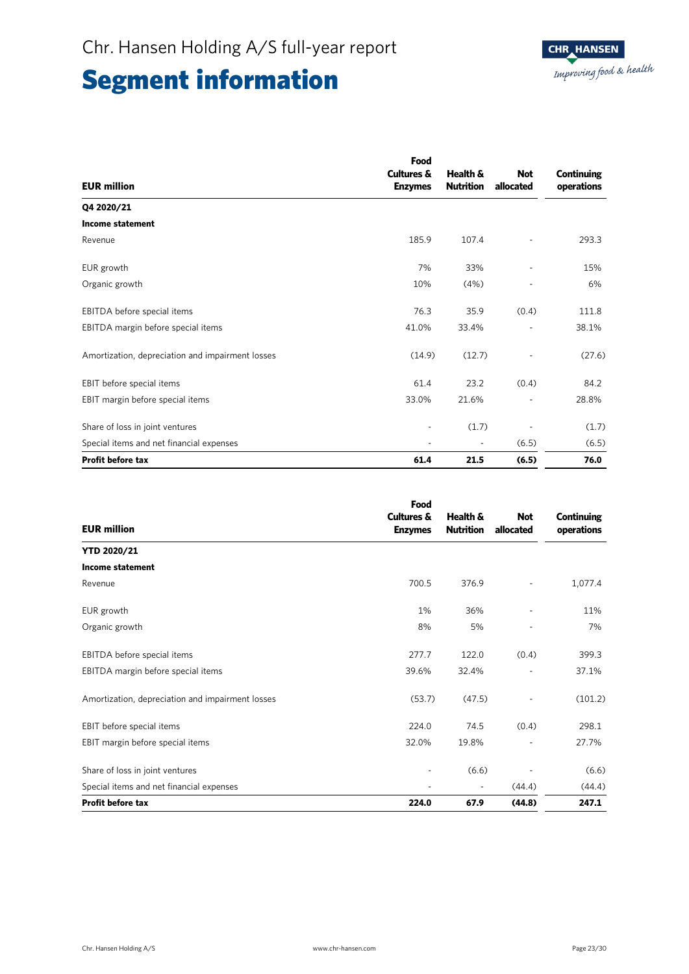|                                                  | Food                  |                  |            |            |  |
|--------------------------------------------------|-----------------------|------------------|------------|------------|--|
|                                                  | <b>Cultures &amp;</b> | Health &         | <b>Not</b> | Continuing |  |
| <b>EUR million</b>                               | <b>Enzymes</b>        | <b>Nutrition</b> | allocated  | operations |  |
| Q4 2020/21                                       |                       |                  |            |            |  |
| <b>Income statement</b>                          |                       |                  |            |            |  |
| Revenue                                          | 185.9                 | 107.4            |            | 293.3      |  |
| EUR growth                                       | 7%                    | 33%              |            | 15%        |  |
| Organic growth                                   | 10%                   | (4%)             |            | 6%         |  |
| EBITDA before special items                      | 76.3                  | 35.9             | (0.4)      | 111.8      |  |
| EBITDA margin before special items               | 41.0%                 | 33.4%            |            | 38.1%      |  |
| Amortization, depreciation and impairment losses | (14.9)                | (12.7)           |            | (27.6)     |  |
| EBIT before special items                        | 61.4                  | 23.2             | (0.4)      | 84.2       |  |
| EBIT margin before special items                 | 33.0%                 | 21.6%            |            | 28.8%      |  |
| Share of loss in joint ventures                  |                       | (1.7)            |            | (1.7)      |  |
| Special items and net financial expenses         |                       |                  | (6.5)      | (6.5)      |  |
| <b>Profit before tax</b>                         | 61.4                  | 21.5             | (6.5)      | 76.0       |  |

| <b>EUR million</b>                               | Food<br><b>Cultures &amp;</b><br><b>Enzymes</b> | Health &<br><b>Nutrition</b> | <b>Not</b><br>allocated | <b>Continuing</b><br>operations |
|--------------------------------------------------|-------------------------------------------------|------------------------------|-------------------------|---------------------------------|
| <b>YTD 2020/21</b>                               |                                                 |                              |                         |                                 |
| <b>Income statement</b>                          |                                                 |                              |                         |                                 |
| Revenue                                          | 700.5                                           | 376.9                        |                         | 1,077.4                         |
| EUR growth                                       | 1%                                              | 36%                          |                         | 11%                             |
| Organic growth                                   | 8%                                              | 5%                           | ٠                       | 7%                              |
| EBITDA before special items                      | 277.7                                           | 122.0                        | (0.4)                   | 399.3                           |
| EBITDA margin before special items               | 39.6%                                           | 32.4%                        |                         | 37.1%                           |
| Amortization, depreciation and impairment losses | (53.7)                                          | (47.5)                       |                         | (101.2)                         |
| EBIT before special items                        | 224.0                                           | 74.5                         | (0.4)                   | 298.1                           |
| EBIT margin before special items                 | 32.0%                                           | 19.8%                        |                         | 27.7%                           |
| Share of loss in joint ventures                  |                                                 | (6.6)                        |                         | (6.6)                           |
| Special items and net financial expenses         |                                                 |                              | (44.4)                  | (44.4)                          |
| <b>Profit before tax</b>                         | 224.0                                           | 67.9                         | (44.8)                  | 247.1                           |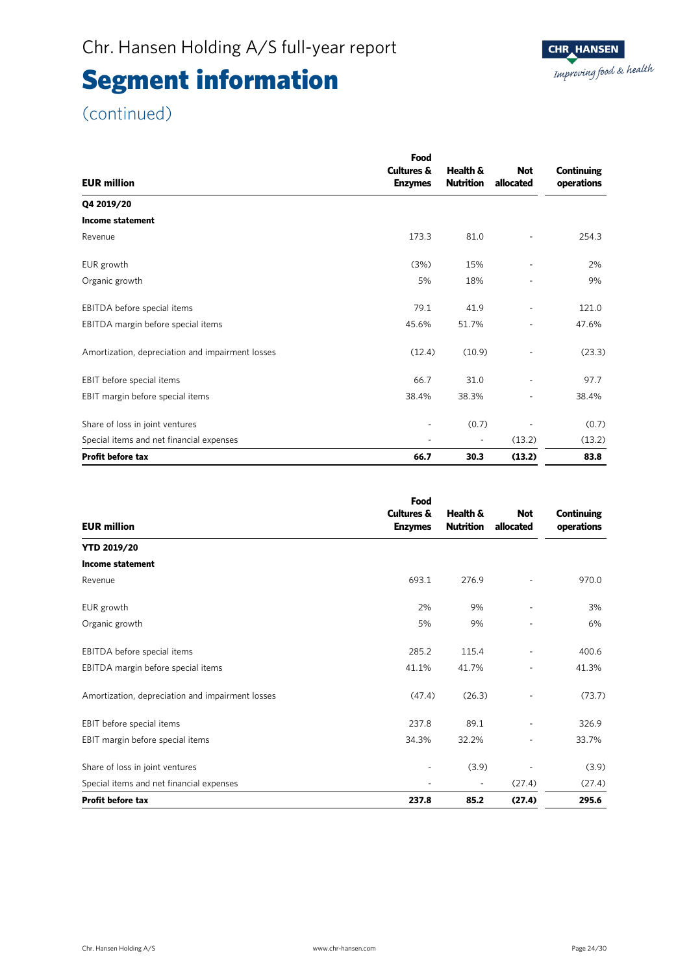### (continued)

|                                                  | Food                     |                          |            |            |  |
|--------------------------------------------------|--------------------------|--------------------------|------------|------------|--|
|                                                  | <b>Cultures &amp;</b>    | Health &                 | <b>Not</b> | Continuing |  |
| <b>EUR million</b>                               | <b>Enzymes</b>           | <b>Nutrition</b>         | allocated  | operations |  |
| Q4 2019/20                                       |                          |                          |            |            |  |
| <b>Income statement</b>                          |                          |                          |            |            |  |
| Revenue                                          | 173.3                    | 81.0                     |            | 254.3      |  |
| EUR growth                                       | (3%)                     | 15%                      |            | 2%         |  |
| Organic growth                                   | 5%                       | 18%                      |            | 9%         |  |
| EBITDA before special items                      | 79.1                     | 41.9                     | ٠          | 121.0      |  |
| EBITDA margin before special items               | 45.6%                    | 51.7%                    | -          | 47.6%      |  |
| Amortization, depreciation and impairment losses | (12.4)                   | (10.9)                   |            | (23.3)     |  |
| EBIT before special items                        | 66.7                     | 31.0                     |            | 97.7       |  |
| EBIT margin before special items                 | 38.4%                    | 38.3%                    |            | 38.4%      |  |
| Share of loss in joint ventures                  | $\overline{\phantom{0}}$ | (0.7)                    |            | (0.7)      |  |
| Special items and net financial expenses         | ٠                        | $\overline{\phantom{a}}$ | (13.2)     | (13.2)     |  |
| <b>Profit before tax</b>                         | 66.7                     | 30.3                     | (13.2)     | 83.8       |  |

|                                                  | Food                                    |                              |                         |                                 |
|--------------------------------------------------|-----------------------------------------|------------------------------|-------------------------|---------------------------------|
| <b>EUR million</b>                               | <b>Cultures &amp;</b><br><b>Enzymes</b> | Health &<br><b>Nutrition</b> | <b>Not</b><br>allocated | <b>Continuing</b><br>operations |
| <b>YTD 2019/20</b>                               |                                         |                              |                         |                                 |
| <b>Income statement</b>                          |                                         |                              |                         |                                 |
| Revenue                                          | 693.1                                   | 276.9                        |                         | 970.0                           |
| EUR growth                                       | 2%                                      | 9%                           |                         | 3%                              |
| Organic growth                                   | 5%                                      | 9%                           |                         | 6%                              |
| EBITDA before special items                      | 285.2                                   | 115.4                        |                         | 400.6                           |
| EBITDA margin before special items               | 41.1%                                   | 41.7%                        |                         | 41.3%                           |
| Amortization, depreciation and impairment losses | (47.4)                                  | (26.3)                       |                         | (73.7)                          |
| EBIT before special items                        | 237.8                                   | 89.1                         |                         | 326.9                           |
| EBIT margin before special items                 | 34.3%                                   | 32.2%                        |                         | 33.7%                           |
| Share of loss in joint ventures                  |                                         | (3.9)                        |                         | (3.9)                           |
| Special items and net financial expenses         |                                         | $\overline{\phantom{a}}$     | (27.4)                  | (27.4)                          |
| <b>Profit before tax</b>                         | 237.8                                   | 85.2                         | (27.4)                  | 295.6                           |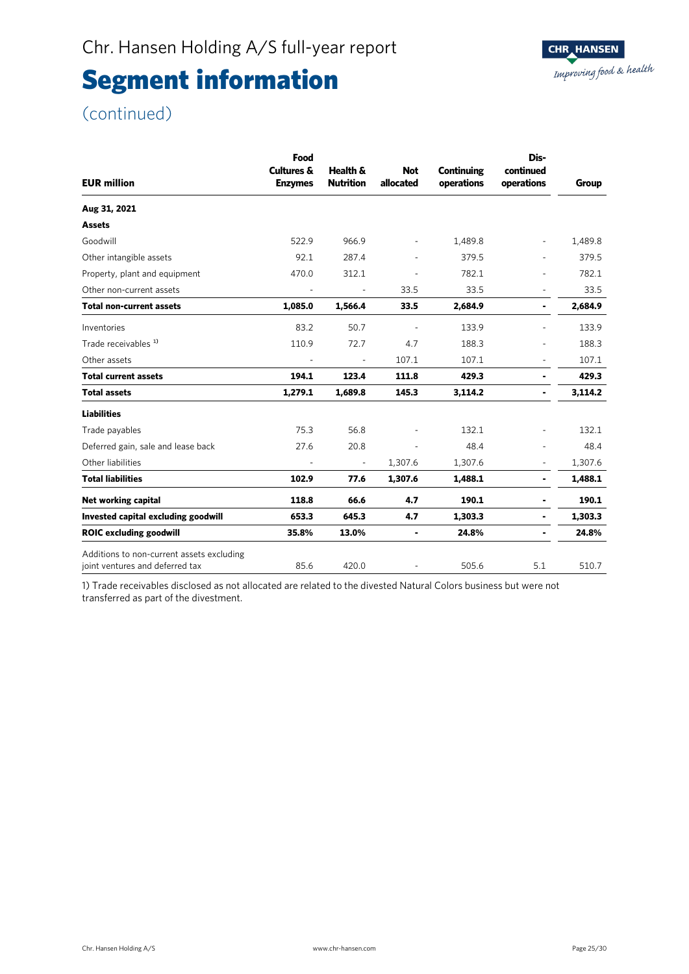### (continued)

| <b>EUR million</b>                                                           | Food<br><b>Cultures &amp;</b><br><b>Enzymes</b> | Health &<br><b>Nutrition</b> | <b>Not</b><br>allocated  | <b>Continuing</b><br>operations | Dis-<br>continued<br>operations | Group   |
|------------------------------------------------------------------------------|-------------------------------------------------|------------------------------|--------------------------|---------------------------------|---------------------------------|---------|
| Aug 31, 2021                                                                 |                                                 |                              |                          |                                 |                                 |         |
| <b>Assets</b>                                                                |                                                 |                              |                          |                                 |                                 |         |
| Goodwill                                                                     | 522.9                                           | 966.9                        | $\overline{\phantom{a}}$ | 1,489.8                         | $\overline{\phantom{0}}$        | 1,489.8 |
| Other intangible assets                                                      | 92.1                                            | 287.4                        | ٠                        | 379.5                           |                                 | 379.5   |
| Property, plant and equipment                                                | 470.0                                           | 312.1                        |                          | 782.1                           |                                 | 782.1   |
| Other non-current assets                                                     | ÷,                                              | ÷,                           | 33.5                     | 33.5                            | $\overline{\phantom{a}}$        | 33.5    |
| Total non-current assets                                                     | 1,085.0                                         | 1,566.4                      | 33.5                     | 2,684.9                         | ٠                               | 2,684.9 |
| Inventories                                                                  | 83.2                                            | 50.7                         |                          | 133.9                           |                                 | 133.9   |
| Trade receivables <sup>1)</sup>                                              | 110.9                                           | 72.7                         | 4.7                      | 188.3                           |                                 | 188.3   |
| Other assets                                                                 |                                                 |                              | 107.1                    | 107.1                           | $\overline{\phantom{a}}$        | 107.1   |
| <b>Total current assets</b>                                                  | 194.1                                           | 123.4                        | 111.8                    | 429.3                           | ٠                               | 429.3   |
| <b>Total assets</b>                                                          | 1,279.1                                         | 1,689.8                      | 145.3                    | 3,114.2                         | ۰                               | 3,114.2 |
| <b>Liabilities</b>                                                           |                                                 |                              |                          |                                 |                                 |         |
| Trade payables                                                               | 75.3                                            | 56.8                         |                          | 132.1                           |                                 | 132.1   |
| Deferred gain, sale and lease back                                           | 27.6                                            | 20.8                         |                          | 48.4                            |                                 | 48.4    |
| Other liabilities                                                            |                                                 | ÷,                           | 1,307.6                  | 1,307.6                         | ÷,                              | 1,307.6 |
| <b>Total liabilities</b>                                                     | 102.9                                           | 77.6                         | 1,307.6                  | 1,488.1                         | ٠                               | 1,488.1 |
| Net working capital                                                          | 118.8                                           | 66.6                         | 4.7                      | 190.1                           | ٠                               | 190.1   |
| Invested capital excluding goodwill                                          | 653.3                                           | 645.3                        | 4.7                      | 1,303.3                         | ۰                               | 1,303.3 |
| <b>ROIC excluding goodwill</b>                                               | 35.8%                                           | 13.0%                        | ۰                        | 24.8%                           | ۰                               | 24.8%   |
| Additions to non-current assets excluding<br>joint ventures and deferred tax | 85.6                                            | 420.0                        |                          | 505.6                           | 5.1                             | 510.7   |

1) Trade receivables disclosed as not allocated are related to the divested Natural Colors business but were not transferred as part of the divestment.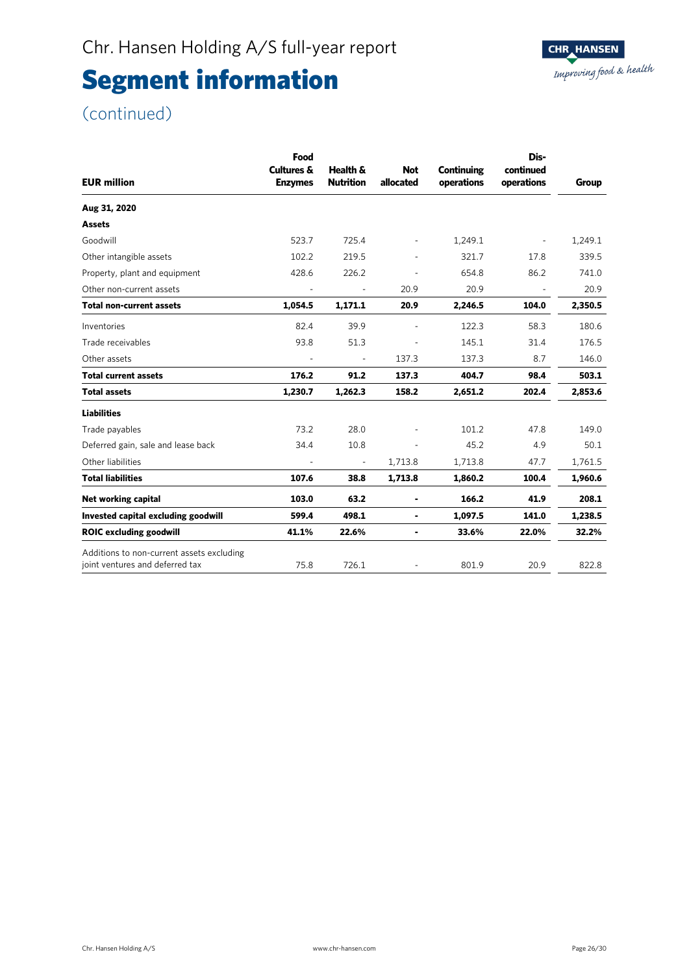### (continued)

| <b>EUR million</b>                                                           | Food<br><b>Cultures &amp;</b><br><b>Enzymes</b> | Health &<br><b>Nutrition</b> | <b>Not</b><br>allocated | <b>Continuing</b><br>operations | Dis-<br>continued<br>operations | Group   |
|------------------------------------------------------------------------------|-------------------------------------------------|------------------------------|-------------------------|---------------------------------|---------------------------------|---------|
|                                                                              |                                                 |                              |                         |                                 |                                 |         |
| Aug 31, 2020                                                                 |                                                 |                              |                         |                                 |                                 |         |
| <b>Assets</b>                                                                |                                                 |                              |                         |                                 |                                 |         |
| Goodwill                                                                     | 523.7                                           | 725.4                        |                         | 1,249.1                         | $\overline{\phantom{a}}$        | 1,249.1 |
| Other intangible assets                                                      | 102.2                                           | 219.5                        |                         | 321.7                           | 17.8                            | 339.5   |
| Property, plant and equipment                                                | 428.6                                           | 226.2                        |                         | 654.8                           | 86.2                            | 741.0   |
| Other non-current assets                                                     |                                                 |                              | 20.9                    | 20.9                            |                                 | 20.9    |
| <b>Total non-current assets</b>                                              | 1,054.5                                         | 1,171.1                      | 20.9                    | 2,246.5                         | 104.0                           | 2,350.5 |
| Inventories                                                                  | 82.4                                            | 39.9                         |                         | 122.3                           | 58.3                            | 180.6   |
| Trade receivables                                                            | 93.8                                            | 51.3                         |                         | 145.1                           | 31.4                            | 176.5   |
| Other assets                                                                 |                                                 | $\overline{\phantom{a}}$     | 137.3                   | 137.3                           | 8.7                             | 146.0   |
| <b>Total current assets</b>                                                  | 176.2                                           | 91.2                         | 137.3                   | 404.7                           | 98.4                            | 503.1   |
| <b>Total assets</b>                                                          | 1,230.7                                         | 1,262.3                      | 158.2                   | 2,651.2                         | 202.4                           | 2,853.6 |
| <b>Liabilities</b>                                                           |                                                 |                              |                         |                                 |                                 |         |
| Trade payables                                                               | 73.2                                            | 28.0                         |                         | 101.2                           | 47.8                            | 149.0   |
| Deferred gain, sale and lease back                                           | 34.4                                            | 10.8                         |                         | 45.2                            | 4.9                             | 50.1    |
| Other liabilities                                                            |                                                 | $\overline{\phantom{a}}$     | 1,713.8                 | 1,713.8                         | 47.7                            | 1,761.5 |
| <b>Total liabilities</b>                                                     | 107.6                                           | 38.8                         | 1,713.8                 | 1,860.2                         | 100.4                           | 1,960.6 |
| Net working capital                                                          | 103.0                                           | 63.2                         |                         | 166.2                           | 41.9                            | 208.1   |
| Invested capital excluding goodwill                                          | 599.4                                           | 498.1                        | ۰                       | 1,097.5                         | 141.0                           | 1,238.5 |
| <b>ROIC excluding goodwill</b>                                               | 41.1%                                           | 22.6%                        | ۰                       | 33.6%                           | 22.0%                           | 32.2%   |
| Additions to non-current assets excluding<br>joint ventures and deferred tax | 75.8                                            | 726.1                        |                         | 801.9                           | 20.9                            | 822.8   |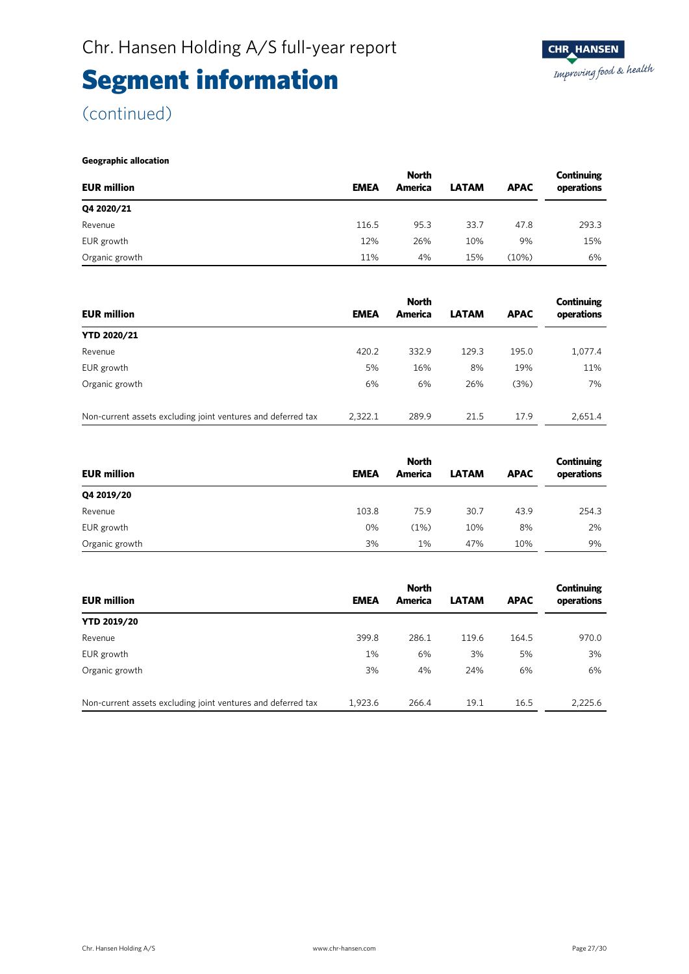### (continued)

#### **Geographic allocation**

|                    | <b>North</b> |         |              |             |            |  |
|--------------------|--------------|---------|--------------|-------------|------------|--|
| <b>EUR million</b> | <b>EMEA</b>  | America | <b>LATAM</b> | <b>APAC</b> | operations |  |
| Q4 2020/21         |              |         |              |             |            |  |
| Revenue            | 116.5        | 95.3    | 33.7         | 47.8        | 293.3      |  |
| EUR growth         | 12%          | 26%     | 10%          | 9%          | 15%        |  |
| Organic growth     | 11%          | 4%      | 15%          | (10%)       | 6%         |  |

|                                                              | <b>North</b> |         |              |             |            |
|--------------------------------------------------------------|--------------|---------|--------------|-------------|------------|
| <b>EUR million</b>                                           | <b>EMEA</b>  | America | <b>LATAM</b> | <b>APAC</b> | operations |
| <b>YTD 2020/21</b>                                           |              |         |              |             |            |
| Revenue                                                      | 420.2        | 332.9   | 129.3        | 195.0       | 1,077.4    |
| EUR growth                                                   | 5%           | 16%     | 8%           | 19%         | 11%        |
| Organic growth                                               | 6%           | 6%      | 26%          | (3%)        | 7%         |
| Non-current assets excluding joint ventures and deferred tax | 2.322.1      | 289.9   | 21.5         | 17.9        | 2.651.4    |

|                    | <b>North</b> |         |              |             |            |  |
|--------------------|--------------|---------|--------------|-------------|------------|--|
| <b>EUR million</b> | <b>EMEA</b>  | America | <b>LATAM</b> | <b>APAC</b> | operations |  |
| Q4 2019/20         |              |         |              |             |            |  |
| Revenue            | 103.8        | 75.9    | 30.7         | 43.9        | 254.3      |  |
| EUR growth         | 0%           | (1%)    | 10%          | 8%          | 2%         |  |
| Organic growth     | 3%           | 1%      | 47%          | 10%         | 9%         |  |

|                                                              | <b>North</b> |         |              | Continuing  |            |  |
|--------------------------------------------------------------|--------------|---------|--------------|-------------|------------|--|
| <b>EUR million</b>                                           | <b>EMEA</b>  | America | <b>LATAM</b> | <b>APAC</b> | operations |  |
| <b>YTD 2019/20</b>                                           |              |         |              |             |            |  |
| Revenue                                                      | 399.8        | 286.1   | 119.6        | 164.5       | 970.0      |  |
| EUR growth                                                   | 1%           | 6%      | 3%           | 5%          | 3%         |  |
| Organic growth                                               | 3%           | 4%      | 24%          | 6%          | 6%         |  |
| Non-current assets excluding joint ventures and deferred tax | 1.923.6      | 266.4   | 19.1         | 16.5        | 2.225.6    |  |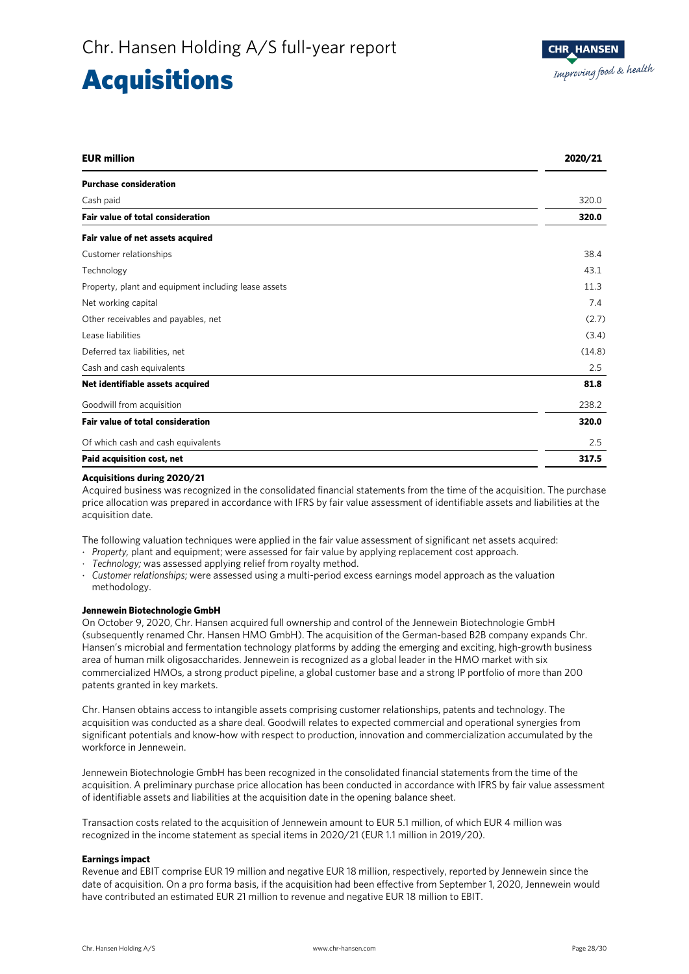### **Acquisitions**

| <b>EUR million</b>                                   | 2020/21 |
|------------------------------------------------------|---------|
| <b>Purchase consideration</b>                        |         |
| Cash paid                                            | 320.0   |
| <b>Fair value of total consideration</b>             | 320.0   |
| Fair value of net assets acquired                    |         |
| Customer relationships                               | 38.4    |
| Technology                                           | 43.1    |
| Property, plant and equipment including lease assets | 11.3    |
| Net working capital                                  | 7.4     |
| Other receivables and payables, net                  | (2.7)   |
| Lease liabilities                                    | (3.4)   |
| Deferred tax liabilities, net                        | (14.8)  |
| Cash and cash equivalents                            | 2.5     |
| Net identifiable assets acquired                     | 81.8    |
| Goodwill from acquisition                            | 238.2   |
| <b>Fair value of total consideration</b>             | 320.0   |
| Of which cash and cash equivalents                   | 2.5     |
| Paid acquisition cost, net                           | 317.5   |

#### **Acquisitions during 2020/21**

Acquired business was recognized in the consolidated financial statements from the time of the acquisition. The purchase price allocation was prepared in accordance with IFRS by fair value assessment of identifiable assets and liabilities at the acquisition date.

The following valuation techniques were applied in the fair value assessment of significant net assets acquired:

- ⋅ *Property,* plant and equipment; were assessed for fair value by applying replacement cost approach.
- Technology; was assessed applying relief from royalty method.
- ⋅ *Customer relationships*; were assessed using a multi-period excess earnings model approach as the valuation methodology.

#### **Jennewein Biotechnologie GmbH**

On October 9, 2020, Chr. Hansen acquired full ownership and control of the Jennewein Biotechnologie GmbH (subsequently renamed Chr. Hansen HMO GmbH). The acquisition of the German-based B2B company expands Chr. Hansen's microbial and fermentation technology platforms by adding the emerging and exciting, high-growth business area of human milk oligosaccharides. Jennewein is recognized as a global leader in the HMO market with six commercialized HMOs, a strong product pipeline, a global customer base and a strong IP portfolio of more than 200 patents granted in key markets.

Chr. Hansen obtains access to intangible assets comprising customer relationships, patents and technology. The acquisition was conducted as a share deal. Goodwill relates to expected commercial and operational synergies from significant potentials and know-how with respect to production, innovation and commercialization accumulated by the workforce in Jennewein.

Jennewein Biotechnologie GmbH has been recognized in the consolidated financial statements from the time of the acquisition. A preliminary purchase price allocation has been conducted in accordance with IFRS by fair value assessment of identifiable assets and liabilities at the acquisition date in the opening balance sheet.

Transaction costs related to the acquisition of Jennewein amount to EUR 5.1 million, of which EUR 4 million was recognized in the income statement as special items in 2020/21 (EUR 1.1 million in 2019/20).

#### **Earnings impact**

Revenue and EBIT comprise EUR 19 million and negative EUR 18 million, respectively, reported by Jennewein since the date of acquisition. On a pro forma basis, if the acquisition had been effective from September 1, 2020, Jennewein would have contributed an estimated EUR 21 million to revenue and negative EUR 18 million to EBIT.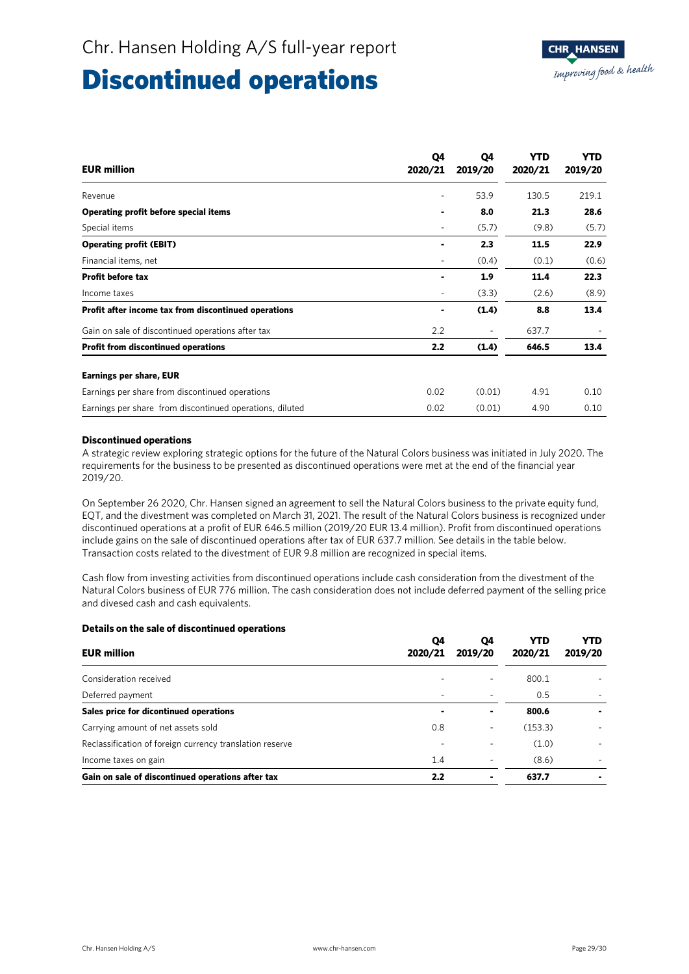### Discontinued operations

| <b>EUR million</b>                                       | Q4<br>2020/21 | Q4<br>2019/20            | YTD<br>2020/21 | <b>YTD</b><br>2019/20 |
|----------------------------------------------------------|---------------|--------------------------|----------------|-----------------------|
| Revenue                                                  | ٠             | 53.9                     | 130.5          | 219.1                 |
| Operating profit before special items                    |               | 8.0                      | 21.3           | 28.6                  |
| Special items                                            | ۰             | (5.7)                    | (9.8)          | (5.7)                 |
| <b>Operating profit (EBIT)</b>                           |               | 2.3                      | 11.5           | 22.9                  |
| Financial items, net                                     | -             | (0.4)                    | (0.1)          | (0.6)                 |
| <b>Profit before tax</b>                                 |               | 1.9                      | 11.4           | 22.3                  |
| Income taxes                                             |               | (3.3)                    | (2.6)          | (8.9)                 |
| Profit after income tax from discontinued operations     |               | (1.4)                    | 8.8            | 13.4                  |
| Gain on sale of discontinued operations after tax        | 2.2           | $\overline{\phantom{a}}$ | 637.7          |                       |
| <b>Profit from discontinued operations</b>               | 2.2           | (1.4)                    | 646.5          | 13.4                  |
| <b>Earnings per share, EUR</b>                           |               |                          |                |                       |
| Earnings per share from discontinued operations          | 0.02          | (0.01)                   | 4.91           | 0.10                  |
| Earnings per share from discontinued operations, diluted | 0.02          | (0.01)                   | 4.90           | 0.10                  |

#### **Discontinued operations**

A strategic review exploring strategic options for the future of the Natural Colors business was initiated in July 2020. The requirements for the business to be presented as discontinued operations were met at the end of the financial year 2019/20.

On September 26 2020, Chr. Hansen signed an agreement to sell the Natural Colors business to the private equity fund, EQT, and the divestment was completed on March 31, 2021. The result of the Natural Colors business is recognized under discontinued operations at a profit of EUR 646.5 million (2019/20 EUR 13.4 million). Profit from discontinued operations include gains on the sale of discontinued operations after tax of EUR 637.7 million. See details in the table below. Transaction costs related to the divestment of EUR 9.8 million are recognized in special items.

Cash flow from investing activities from discontinued operations include cash consideration from the divestment of the Natural Colors business of EUR 776 million. The cash consideration does not include deferred payment of the selling price and divesed cash and cash equivalents.

| Details on the sale of discontinued operations           |               |               |                       |                       |
|----------------------------------------------------------|---------------|---------------|-----------------------|-----------------------|
| <b>EUR million</b>                                       | Q4<br>2020/21 | Q4<br>2019/20 | <b>YTD</b><br>2020/21 | <b>YTD</b><br>2019/20 |
| Consideration received                                   |               |               | 800.1                 |                       |
| Deferred payment                                         |               |               | 0.5                   |                       |
| Sales price for dicontinued operations                   |               | ٠             | 800.6                 |                       |
| Carrying amount of net assets sold                       | 0.8           | -             | (153.3)               |                       |
| Reclassification of foreign currency translation reserve |               |               | (1.0)                 |                       |
| Income taxes on gain                                     | 1.4           |               | (8.6)                 |                       |
| Gain on sale of discontinued operations after tax        | 2.2           |               | 637.7                 | ۰                     |